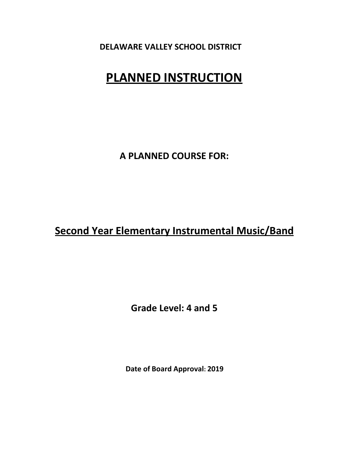# **PLANNED INSTRUCTION**

**A PLANNED COURSE FOR:**

# **Second Year Elementary Instrumental Music/Band**

**Grade Level: 4 and 5**

**Date of Board Approval: 2019**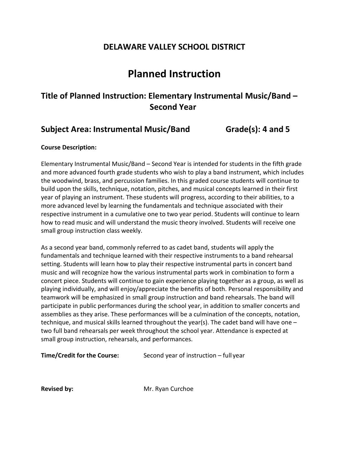# **Planned Instruction**

## **Title of Planned Instruction: Elementary Instrumental Music/Band – Second Year**

### **Subject Area: Instrumental Music/Band Grade(s): 4 and 5**

#### **Course Description:**

Elementary Instrumental Music/Band – Second Year is intended for students in the fifth grade and more advanced fourth grade students who wish to play a band instrument, which includes the woodwind, brass, and percussion families. In this graded course students will continue to build upon the skills, technique, notation, pitches, and musical concepts learned in their first year of playing an instrument. These students will progress, according to their abilities, to a more advanced level by learning the fundamentals and technique associated with their respective instrument in a cumulative one to two year period. Students will continue to learn how to read music and will understand the music theory involved. Students will receive one small group instruction class weekly.

As a second year band, commonly referred to as cadet band, students will apply the fundamentals and technique learned with their respective instruments to a band rehearsal setting. Students will learn how to play their respective instrumental parts in concert band music and will recognize how the various instrumental parts work in combination to form a concert piece. Students will continue to gain experience playing together as a group, as well as playing individually, and will enjoy/appreciate the benefits of both. Personal responsibility and teamwork will be emphasized in small group instruction and band rehearsals. The band will participate in public performances during the school year, in addition to smaller concerts and assemblies as they arise. These performances will be a culmination of the concepts, notation, technique, and musical skills learned throughout the year(s). The cadet band will have one – two full band rehearsals per week throughout the school year. Attendance is expected at small group instruction, rehearsals, and performances.

| <b>Time/Credit for the Course:</b> | Second year of instruction – full year |
|------------------------------------|----------------------------------------|
|------------------------------------|----------------------------------------|

**Revised by:** Mr. Ryan Curchoe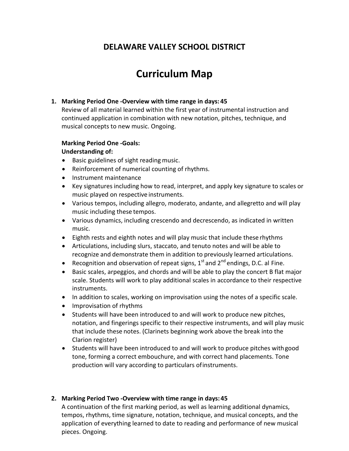# **Curriculum Map**

#### **1. Marking Period One ‐Overview with time range in days: 45**

Review of all material learned within the first year of instrumental instruction and continued application in combination with new notation, pitches, technique, and musical concepts to new music. Ongoing.

#### **Marking Period One ‐Goals:**

#### **Understanding of:**

- Basic guidelines of sight reading music.
- Reinforcement of numerical counting of rhythms.
- Instrument maintenance
- Key signatures including how to read, interpret, and apply key signature to scales or music played on respective instruments.
- Various tempos, including allegro, moderato, andante, and allegretto and will play music including these tempos.
- Various dynamics, including crescendo and decrescendo, as indicated in written music.
- Eighth rests and eighth notes and will play music that include these rhythms
- Articulations, including slurs, staccato, and tenuto notes and will be able to recognize and demonstrate them in addition to previously learned articulations.
- Recognition and observation of repeat signs,  $1<sup>st</sup>$  and  $2<sup>nd</sup>$  endings, D.C. al Fine.
- Basic scales, arpeggios, and chords and will be able to play the concert B flat major scale. Students will work to play additional scales in accordance to their respective instruments.
- In addition to scales, working on improvisation using the notes of a specific scale.
- Improvisation of rhythms
- Students will have been introduced to and will work to produce new pitches, notation, and fingerings specific to their respective instruments, and will play music that include these notes. (Clarinets beginning work above the break into the Clarion register)
- Students will have been introduced to and will work to produce pitches withgood tone, forming a correct embouchure, and with correct hand placements. Tone production will vary according to particulars ofinstruments.

#### **2. Marking Period Two ‐Overview with time range in days:45**

A continuation of the first marking period, as well as learning additional dynamics, tempos, rhythms, time signature, notation, technique, and musical concepts, and the application of everything learned to date to reading and performance of new musical pieces. Ongoing.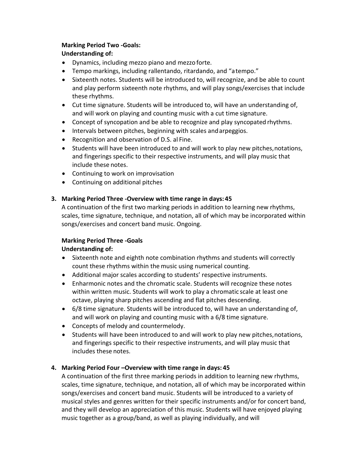#### **Marking Period Two ‐Goals:**

#### **Understanding of:**

- Dynamics, including mezzo piano and mezzo forte.
- Tempo markings, including rallentando, ritardando, and "atempo."
- Sixteenth notes. Students will be introduced to, will recognize, and be able to count and play perform sixteenth note rhythms, and will play songs/exercises that include these rhythms.
- Cut time signature. Students will be introduced to, will have an understanding of, and will work on playing and counting music with a cut time signature.
- Concept of syncopation and be able to recognize and play syncopated rhythms.
- Intervals between pitches, beginning with scales andarpeggios.
- Recognition and observation of D.S. al Fine.
- Students will have been introduced to and will work to play new pitches,notations, and fingerings specific to their respective instruments, and will play music that include these notes.
- Continuing to work on improvisation
- Continuing on additional pitches

#### **3. Marking Period Three ‐Overview with time range in days: 45**

A continuation of the first two marking periods in addition to learning new rhythms, scales, time signature, technique, and notation, all of which may be incorporated within songs/exercises and concert band music. Ongoing.

#### **Marking Period Three ‐Goals**

#### **Understanding of:**

- Sixteenth note and eighth note combination rhythms and students will correctly count these rhythms within the music using numerical counting.
- Additional major scales according to students' respective instruments.
- Enharmonic notes and the chromatic scale. Students will recognize these notes within written music. Students will work to play a chromatic scale at least one octave, playing sharp pitches ascending and flat pitches descending.
- 6/8 time signature. Students will be introduced to, will have an understanding of, and will work on playing and counting music with a 6/8 time signature.
- Concepts of melody and countermelody.
- Students will have been introduced to and will work to play new pitches,notations, and fingerings specific to their respective instruments, and will play music that includes these notes.

#### **4. Marking Period Four –Overview with time range in days: 45**

A continuation of the first three marking periods in addition to learning new rhythms, scales, time signature, technique, and notation, all of which may be incorporated within songs/exercises and concert band music. Students will be introduced to a variety of musical styles and genres written for their specific instruments and/or for concert band, and they will develop an appreciation of this music. Students will have enjoyed playing music together as a group/band, as well as playing individually, and will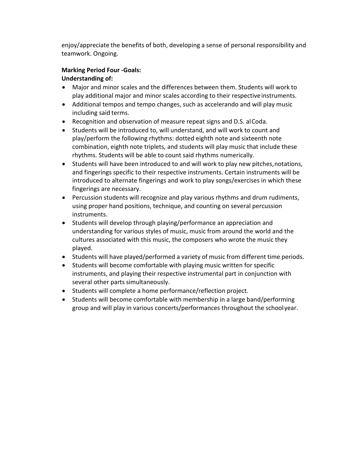enjoy/appreciate the benefits of both, developing a sense of personal responsibility and teamwork. Ongoing.

#### **Marking Period Four ‐Goals: Understanding of:**

- Major and minor scales and the differences between them. Students will work to play additional major and minor scales according to their respectiveinstruments.
- Additional tempos and tempo changes, such as accelerando and will play music including said terms.
- Recognition and observation of measure repeat signs and D.S. alCoda.
- Students will be introduced to, will understand, and will work to count and play/perform the following rhythms: dotted eighth note and sixteenth note combination, eighth note triplets, and students will play music that include these rhythms. Students will be able to count said rhythms numerically.
- Students will have been introduced to and will work to play new pitches,notations, and fingerings specific to their respective instruments. Certain instruments will be introduced to alternate fingerings and work to play songs/exercises in which these fingerings are necessary.
- Percussion students will recognize and play various rhythms and drum rudiments, using proper hand positions, technique, and counting on several percussion instruments.
- Students will develop through playing/performance an appreciation and understanding for various styles of music, music from around the world and the cultures associated with this music, the composers who wrote the music they played.
- Students will have played/performed a variety of music from different time periods.
- Students will become comfortable with playing music written for specific instruments, and playing their respective instrumental part in conjunction with several other parts simultaneously.
- Students will complete a home performance/reflection project.
- Students will become comfortable with membership in a large band/performing group and will play in various concerts/performances throughout the schoolyear.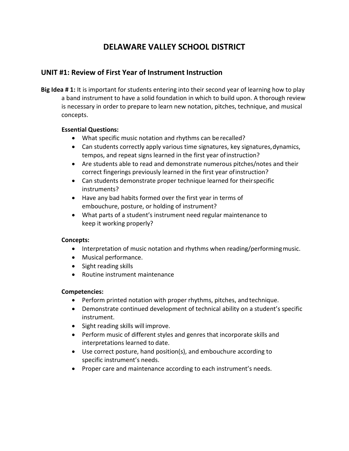### **UNIT #1: Review of First Year of Instrument Instruction**

**Big Idea # 1:** It is important for students entering into their second year of learning how to play a band instrument to have a solid foundation in which to build upon. A thorough review is necessary in order to prepare to learn new notation, pitches, technique, and musical concepts.

#### **Essential Questions:**

- What specific music notation and rhythms can be recalled?
- Can students correctly apply various time signatures, key signatures, dynamics, tempos, and repeat signs learned in the first year ofinstruction?
- Are students able to read and demonstrate numerous pitches/notes and their correct fingerings previously learned in the first year ofinstruction?
- Can students demonstrate proper technique learned for theirspecific instruments?
- Have any bad habits formed over the first year in terms of embouchure, posture, or holding of instrument?
- What parts of a student's instrument need regular maintenance to keep it working properly?

#### **Concepts:**

- Interpretation of music notation and rhythms when reading/performing music.
- Musical performance.
- Sight reading skills
- Routine instrument maintenance

- Perform printed notation with proper rhythms, pitches, and technique.
- Demonstrate continued development of technical ability on a student's specific instrument.
- Sight reading skills will improve.
- Perform music of different styles and genres that incorporate skills and interpretations learned to date.
- Use correct posture, hand position(s), and embouchure according to specific instrument's needs.
- Proper care and maintenance according to each instrument's needs.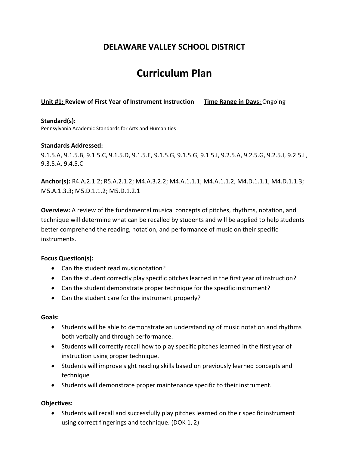# **Curriculum Plan**

#### **Unit #1: Review of First Year of Instrument Instruction Time Range in Days:** Ongoing

#### **Standard(s):**

Pennsylvania Academic Standards for Arts and Humanities

#### **Standards Addressed:**

9.1.5.A, 9.1.5.B, 9.1.5.C, 9.1.5.D, 9.1.5.E, 9.1.5.G, 9.1.5.G, 9.1.5.I, 9.2.5.A, 9.2.5.G, 9.2.5.I, 9.2.5.L, 9.3.5.A, 9.4.5.C

**Anchor(s):** R4.A.2.1.2; R5.A.2.1.2; M4.A.3.2.2; M4.A.1.1.1; M4.A.1.1.2, M4.D.1.1.1, M4.D.1.1.3; M5.A.1.3.3; M5.D.1.1.2; M5.D.1.2.1

**Overview:** A review of the fundamental musical concepts of pitches, rhythms, notation, and technique will determine what can be recalled by students and will be applied to help students better comprehend the reading, notation, and performance of music on their specific instruments.

#### **Focus Question(s):**

- Can the student read musicnotation?
- Can the student correctly play specific pitches learned in the first year of instruction?
- Can the student demonstrate proper technique for the specific instrument?
- Can the student care for the instrument properly?

#### **Goals:**

- Students will be able to demonstrate an understanding of music notation and rhythms both verbally and through performance.
- Students will correctly recall how to play specific pitches learned in the first year of instruction using proper technique.
- Students will improve sight reading skills based on previously learned concepts and technique
- Students will demonstrate proper maintenance specific to their instrument.

#### **Objectives:**

• Students will recall and successfully play pitches learned on their specificinstrument using correct fingerings and technique. (DOK 1, 2)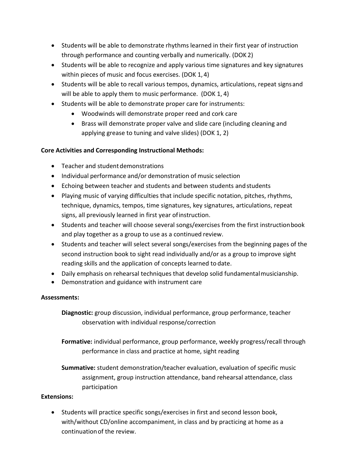- Students will be able to demonstrate rhythms learned in their first year of instruction through performance and counting verbally and numerically. (DOK 2)
- Students will be able to recognize and apply various time signatures and key signatures within pieces of music and focus exercises. (DOK 1, 4)
- Students will be able to recall various tempos, dynamics, articulations, repeat signsand will be able to apply them to music performance. (DOK 1, 4)
- Students will be able to demonstrate proper care for instruments:
	- Woodwinds will demonstrate proper reed and cork care
	- Brass will demonstrate proper valve and slide care (including cleaning and applying grease to tuning and valve slides) (DOK 1, 2)

#### **Core Activities and Corresponding Instructional Methods:**

- Teacher and student demonstrations
- Individual performance and/or demonstration of music selection
- Echoing between teacher and students and between students andstudents
- Playing music of varying difficulties that include specific notation, pitches, rhythms, technique, dynamics, tempos, time signatures, key signatures, articulations, repeat signs, all previously learned in first year ofinstruction.
- Students and teacher will choose several songs/exercises from the first instructionbook and play together as a group to use as a continued review.
- Students and teacher will select several songs/exercises from the beginning pages of the second instruction book to sight read individually and/or as a group to improve sight reading skills and the application of concepts learned to date.
- Daily emphasis on rehearsal techniques that develop solid fundamentalmusicianship.
- Demonstration and guidance with instrument care

#### **Assessments:**

**Diagnostic:** group discussion, individual performance, group performance, teacher observation with individual response/correction

**Formative:** individual performance, group performance, weekly progress/recall through performance in class and practice at home, sight reading

**Summative:** student demonstration/teacher evaluation, evaluation of specific music assignment, group instruction attendance, band rehearsal attendance, class participation

#### **Extensions:**

• Students will practice specific songs/exercises in first and second lesson book, with/without CD/online accompaniment, in class and by practicing at home as a continuationof the review.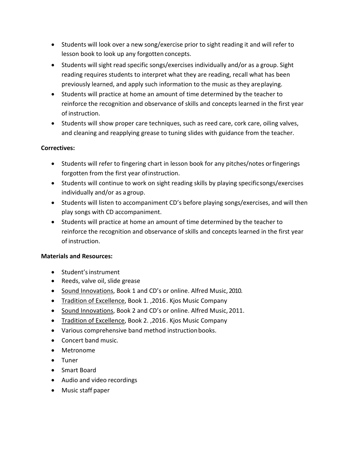- Students will look over a new song/exercise prior to sight reading it and will refer to lesson book to look up any forgotten concepts.
- Students will sight read specific songs/exercises individually and/or as a group. Sight reading requires students to interpret what they are reading, recall what has been previously learned, and apply such information to the music as they areplaying.
- Students will practice at home an amount of time determined by the teacher to reinforce the recognition and observance of skills and concepts learned in the first year of instruction.
- Students will show proper care techniques, such as reed care, cork care, oiling valves, and cleaning and reapplying grease to tuning slides with guidance from the teacher.

#### **Correctives:**

- Students will refer to fingering chart in lesson book for any pitches/notes orfingerings forgotten from the first year ofinstruction.
- Students will continue to work on sight reading skills by playing specificsongs/exercises individually and/or as a group.
- Students will listen to accompaniment CD's before playing songs/exercises, and will then play songs with CD accompaniment.
- Students will practice at home an amount of time determined by the teacher to reinforce the recognition and observance of skills and concepts learned in the first year of instruction.

#### **Materials and Resources:**

- Student'sinstrument
- Reeds, valve oil, slide grease
- Sound Innovations, Book 1 and CD's or online. Alfred Music, 2010.
- Tradition of Excellence, Book 1., 2016. Kjos Music Company
- Sound Innovations, Book 2 and CD's or online. Alfred Music, 2011.
- Tradition of Excellence, Book 2. ,2016. Kjos Music Company
- Various comprehensive band method instruction books.
- Concert band music.
- Metronome
- Tuner
- Smart Board
- Audio and video recordings
- Music staff paper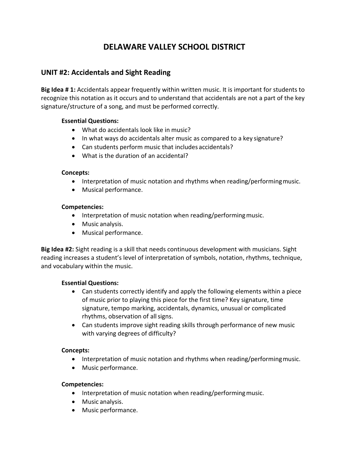### **UNIT #2: Accidentals and Sight Reading**

**Big Idea # 1:** Accidentals appear frequently within written music. It is important for students to recognize this notation as it occurs and to understand that accidentals are not a part of the key signature/structure of a song, and must be performed correctly.

#### **Essential Questions:**

- What do accidentals look like in music?
- In what ways do accidentals alter music as compared to a key signature?
- Can students perform music that includes accidentals?
- What is the duration of an accidental?

#### **Concepts:**

- Interpretation of music notation and rhythms when reading/performing music.
- Musical performance.

#### **Competencies:**

- Interpretation of music notation when reading/performing music.
- Music analysis.
- Musical performance.

**Big Idea #2:** Sight reading is a skill that needs continuous development with musicians. Sight reading increases a student's level of interpretation of symbols, notation, rhythms, technique, and vocabulary within the music.

#### **Essential Questions:**

- Can students correctly identify and apply the following elements within a piece of music prior to playing this piece for the first time? Key signature, time signature, tempo marking, accidentals, dynamics, unusual or complicated rhythms, observation of all signs.
- Can students improve sight reading skills through performance of new music with varying degrees of difficulty?

#### **Concepts:**

- Interpretation of music notation and rhythms when reading/performingmusic.
- Music performance.

- Interpretation of music notation when reading/performing music.
- Music analysis.
- Music performance.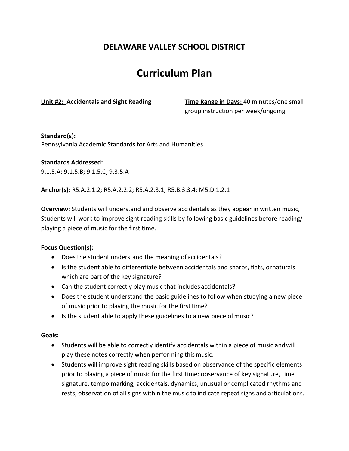# **Curriculum Plan**

**Unit #2: Accidentals and Sight Reading Time Range in Days:** 40 minutes/one small group instruction per week/ongoing

#### **Standard(s):**

Pennsylvania Academic Standards for Arts and Humanities

#### **Standards Addressed:**

9.1.5.A; 9.1.5.B; 9.1.5.C; 9.3.5.A

**Anchor(s):** R5.A.2.1.2; R5.A.2.2.2; R5.A.2.3.1; R5.B.3.3.4; M5.D.1.2.1

**Overview:** Students will understand and observe accidentals as they appear in written music, Students will work to improve sight reading skills by following basic guidelines before reading/ playing a piece of music for the first time.

#### **Focus Question(s):**

- Does the student understand the meaning of accidentals?
- Is the student able to differentiate between accidentals and sharps, flats, ornaturals which are part of the key signature?
- Can the student correctly play music that includes accidentals?
- Does the student understand the basic guidelines to follow when studying a new piece of music prior to playing the music for the first time?
- Is the student able to apply these guidelines to a new piece ofmusic?

#### **Goals:**

- Students will be able to correctly identify accidentals within a piece of music andwill play these notes correctly when performing thismusic.
- Students will improve sight reading skills based on observance of the specific elements prior to playing a piece of music for the first time: observance of key signature, time signature, tempo marking, accidentals, dynamics, unusual or complicated rhythms and rests, observation of all signs within the music to indicate repeat signs and articulations.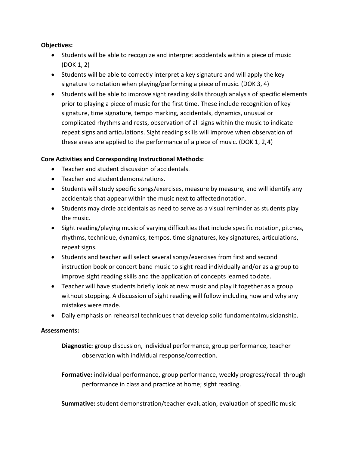#### **Objectives:**

- Students will be able to recognize and interpret accidentals within a piece of music (DOK 1, 2)
- Students will be able to correctly interpret a key signature and will apply the key signature to notation when playing/performing a piece of music. (DOK 3, 4)
- Students will be able to improve sight reading skills through analysis of specific elements prior to playing a piece of music for the first time. These include recognition of key signature, time signature, tempo marking, accidentals, dynamics, unusual or complicated rhythms and rests, observation of all signs within the music to indicate repeat signs and articulations. Sight reading skills will improve when observation of these areas are applied to the performance of a piece of music. (DOK 1, 2,4)

#### **Core Activities and Corresponding Instructional Methods:**

- Teacher and student discussion of accidentals.
- Teacher and student demonstrations.
- Students will study specific songs/exercises, measure by measure, and will identify any accidentals that appear within the music next to affectednotation.
- Students may circle accidentals as need to serve as a visual reminder as students play the music.
- Sight reading/playing music of varying difficulties that include specific notation, pitches, rhythms, technique, dynamics, tempos, time signatures, key signatures, articulations, repeat signs.
- Students and teacher will select several songs/exercises from first and second instruction book or concert band music to sight read individually and/or as a group to improve sight reading skills and the application of concepts learned to date.
- Teacher will have students briefly look at new music and play it together as a group without stopping. A discussion of sight reading will follow including how and why any mistakes were made.
- Daily emphasis on rehearsal techniques that develop solid fundamentalmusicianship.

#### **Assessments:**

**Diagnostic:** group discussion, individual performance, group performance, teacher observation with individual response/correction.

**Formative:** individual performance, group performance, weekly progress/recall through performance in class and practice at home; sight reading.

**Summative:** student demonstration/teacher evaluation, evaluation of specific music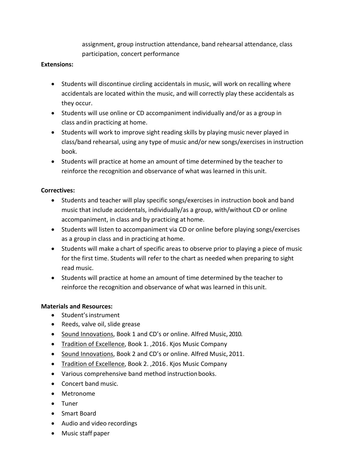assignment, group instruction attendance, band rehearsal attendance, class participation, concert performance

#### **Extensions:**

- Students will discontinue circling accidentals in music, will work on recalling where accidentals are located within the music, and will correctly play these accidentals as they occur.
- Students will use online or CD accompaniment individually and/or as a group in class andin practicing at home.
- Students will work to improve sight reading skills by playing music never played in class/band rehearsal, using any type of music and/or new songs/exercises in instruction book.
- Students will practice at home an amount of time determined by the teacher to reinforce the recognition and observance of what was learned in this unit.

#### **Correctives:**

- Students and teacher will play specific songs/exercises in instruction book and band music that include accidentals, individually/as a group, with/without CD or online accompaniment, in class and by practicing at home.
- Students will listen to accompaniment via CD or online before playing songs/exercises as a group in class and in practicing at home.
- Students will make a chart of specific areas to observe prior to playing a piece of music for the first time. Students will refer to the chart as needed when preparing to sight read music.
- Students will practice at home an amount of time determined by the teacher to reinforce the recognition and observance of what was learned in this unit.

#### **Materials and Resources:**

- Student'sinstrument
- Reeds, valve oil, slide grease
- Sound Innovations, Book 1 and CD's or online. Alfred Music, 2010.
- Tradition of Excellence, Book 1. ,2016. Kjos Music Company
- Sound Innovations, Book 2 and CD's or online. Alfred Music, 2011.
- Tradition of Excellence, Book 2., 2016. Kjos Music Company
- Various comprehensive band method instruction books.
- Concert band music.
- Metronome
- Tuner
- Smart Board
- Audio and video recordings
- Music staff paper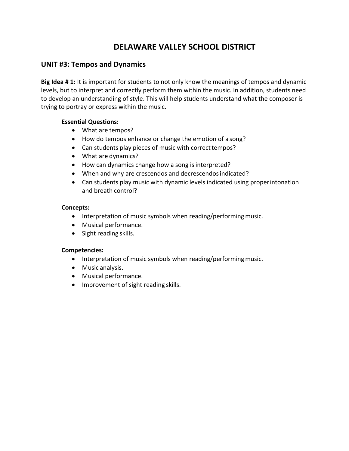#### **UNIT #3: Tempos and Dynamics**

**Big Idea # 1:** It is important for students to not only know the meanings of tempos and dynamic levels, but to interpret and correctly perform them within the music. In addition, students need to develop an understanding of style. This will help students understand what the composer is trying to portray or express within the music.

#### **Essential Questions:**

- What are tempos?
- How do tempos enhance or change the emotion of a song?
- Can students play pieces of music with correct tempos?
- What are dynamics?
- How can dynamics change how a song is interpreted?
- When and why are crescendos and decrescendos indicated?
- Can students play music with dynamic levels indicated using properintonation and breath control?

#### **Concepts:**

- Interpretation of music symbols when reading/performing music.
- Musical performance.
- Sight reading skills.

- Interpretation of music symbols when reading/performing music.
- Music analysis.
- Musical performance.
- Improvement of sight reading skills.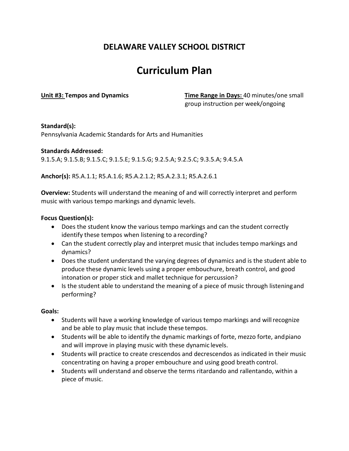# **Curriculum Plan**

**Unit #3: Tempos and Dynamics Time Range in Days:** 40 minutes/one small group instruction per week/ongoing

#### **Standard(s):**

Pennsylvania Academic Standards for Arts and Humanities

#### **Standards Addressed:**

9.1.5.A; 9.1.5.B; 9.1.5.C; 9.1.5.E; 9.1.5.G; 9.2.5.A; 9.2.5.C; 9.3.5.A; 9.4.5.A

**Anchor(s):** R5.A.1.1; R5.A.1.6; R5.A.2.1.2; R5.A.2.3.1; R5.A.2.6.1

**Overview:** Students will understand the meaning of and will correctly interpret and perform music with various tempo markings and dynamic levels.

#### **Focus Question(s):**

- Does the student know the various tempo markings and can the student correctly identify these tempos when listening to a recording?
- Can the student correctly play and interpret music that includes tempo markings and dynamics?
- Does the student understand the varying degrees of dynamics and is the student able to produce these dynamic levels using a proper embouchure, breath control, and good intonation or proper stick and mallet technique for percussion?
- Is the student able to understand the meaning of a piece of music through listeningand performing?

#### **Goals:**

- Students will have a working knowledge of various tempo markings and will recognize and be able to play music that include these tempos.
- Students will be able to identify the dynamic markings of forte, mezzo forte, andpiano and will improve in playing music with these dynamic levels.
- Students will practice to create crescendos and decrescendos as indicated in their music concentrating on having a proper embouchure and using good breath control.
- Students will understand and observe the terms ritardando and rallentando, within a piece of music.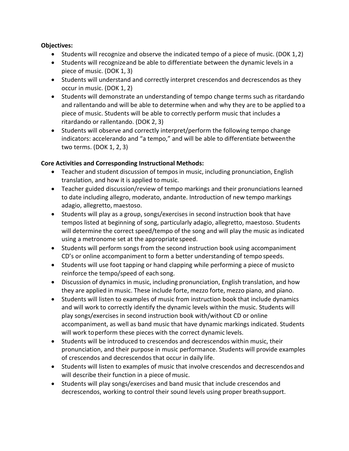#### **Objectives:**

- Students will recognize and observe the indicated tempo of a piece of music. (DOK 1,2)
- Students will recognizeand be able to differentiate between the dynamic levels in a piece of music. (DOK 1, 3)
- Students will understand and correctly interpret crescendos and decrescendos as they occur in music. (DOK 1, 2)
- Students will demonstrate an understanding of tempo change terms such as ritardando and rallentando and will be able to determine when and why they are to be applied to a piece of music. Students will be able to correctly perform music that includes a ritardando or rallentando. (DOK 2, 3)
- Students will observe and correctly interpret/perform the following tempo change indicators: accelerando and "a tempo," and will be able to differentiate betweenthe two terms. (DOK 1, 2, 3)

#### **Core Activities and Corresponding Instructional Methods:**

- Teacher and student discussion of tempos in music, including pronunciation, English translation, and how it is applied to music.
- Teacher guided discussion/review of tempo markings and their pronunciations learned to date including allegro, moderato, andante. Introduction of new tempo markings adagio, allegretto, maestoso.
- Students will play as a group, songs/exercises in second instruction book that have tempos listed at beginning of song, particularly adagio, allegretto, maestoso. Students will determine the correct speed/tempo of the song and will play the music as indicated using a metronome set at the appropriate speed.
- Students will perform songs from the second instruction book using accompaniment CD's or online accompaniment to form a better understanding of tempo speeds.
- Students will use foot tapping or hand clapping while performing a piece of musicto reinforce the tempo/speed of each song.
- Discussion of dynamics in music, including pronunciation, English translation, and how they are applied in music. These include forte, mezzo forte, mezzo piano, and piano.
- Students will listen to examples of music from instruction book that include dynamics and will work to correctly identify the dynamic levels within the music. Students will play songs/exercises in second instruction book with/without CD or online accompaniment, as well as band music that have dynamic markings indicated. Students will work toperform these pieces with the correct dynamic levels.
- Students will be introduced to crescendos and decrescendos within music, their pronunciation, and their purpose in music performance. Students will provide examples of crescendos and decrescendos that occur in daily life.
- Students will listen to examples of music that involve crescendos and decrescendosand will describe their function in a piece of music.
- Students will play songs/exercises and band music that include crescendos and decrescendos, working to control their sound levels using proper breathsupport.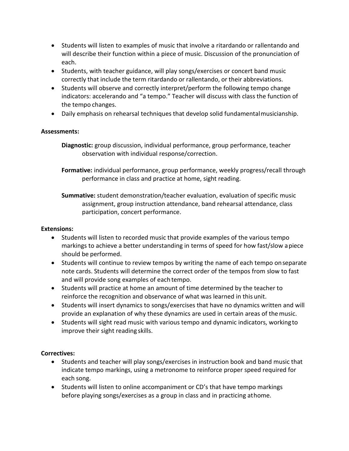- Students will listen to examples of music that involve a ritardando or rallentando and will describe their function within a piece of music. Discussion of the pronunciation of each.
- Students, with teacher guidance, will play songs/exercises or concert band music correctly that include the term ritardando or rallentando, or their abbreviations.
- Students will observe and correctly interpret/perform the following tempo change indicators: accelerando and "a tempo." Teacher will discuss with class the function of the tempo changes.
- Daily emphasis on rehearsal techniques that develop solid fundamentalmusicianship.

#### **Assessments:**

**Diagnostic:** group discussion, individual performance, group performance, teacher observation with individual response/correction.

**Formative:** individual performance, group performance, weekly progress/recall through performance in class and practice at home, sight reading.

**Summative:** student demonstration/teacher evaluation, evaluation of specific music assignment, group instruction attendance, band rehearsal attendance, class participation, concert performance.

#### **Extensions:**

- Students will listen to recorded music that provide examples of the various tempo markings to achieve a better understanding in terms of speed for how fast/slow apiece should be performed.
- Students will continue to review tempos by writing the name of each tempo onseparate note cards. Students will determine the correct order of the tempos from slow to fast and will provide song examples of each tempo.
- Students will practice at home an amount of time determined by the teacher to reinforce the recognition and observance of what was learned in this unit.
- Students will insert dynamics to songs/exercises that have no dynamics written and will provide an explanation of why these dynamics are used in certain areas of themusic.
- Students will sight read music with various tempo and dynamic indicators, working to improve their sight reading skills.

#### **Correctives:**

- Students and teacher will play songs/exercises in instruction book and band music that indicate tempo markings, using a metronome to reinforce proper speed required for each song.
- Students will listen to online accompaniment or CD's that have tempo markings before playing songs/exercises as a group in class and in practicing athome.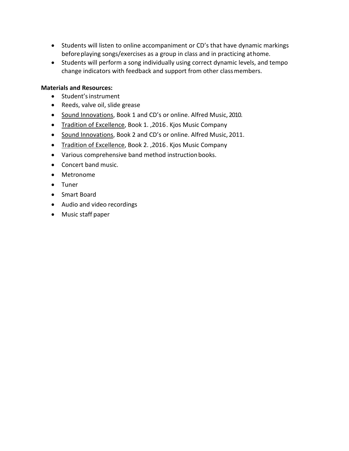- Students will listen to online accompaniment or CD's that have dynamic markings beforeplaying songs/exercises as a group in class and in practicing athome.
- Students will perform a song individually using correct dynamic levels, and tempo change indicators with feedback and support from other classmembers.

#### **Materials and Resources:**

- Student'sinstrument
- Reeds, valve oil, slide grease
- Sound Innovations, Book 1 and CD's or online. Alfred Music, 2010.
- Tradition of Excellence, Book 1., 2016. Kjos Music Company
- Sound Innovations, Book 2 and CD's or online. Alfred Music, 2011.
- Tradition of Excellence, Book 2. ,2016. Kjos Music Company
- Various comprehensive band method instruction books.
- Concert band music.
- Metronome
- Tuner
- Smart Board
- Audio and video recordings
- Music staff paper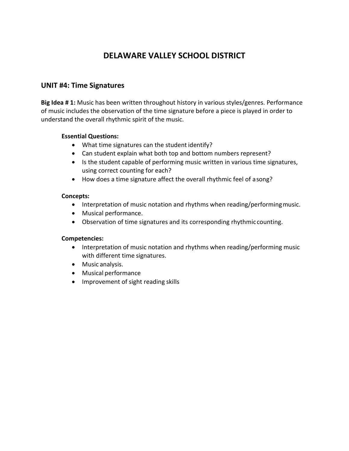### **UNIT #4: Time Signatures**

**Big Idea # 1:** Music has been written throughout history in various styles/genres. Performance of music includes the observation of the time signature before a piece is played in order to understand the overall rhythmic spirit of the music.

#### **Essential Questions:**

- What time signatures can the student identify?
- Can student explain what both top and bottom numbers represent?
- Is the student capable of performing music written in various time signatures, using correct counting for each?
- How does a time signature affect the overall rhythmic feel of asong?

#### **Concepts:**

- Interpretation of music notation and rhythms when reading/performing music.
- Musical performance.
- Observation of time signatures and its corresponding rhythmic counting.

- Interpretation of music notation and rhythms when reading/performing music with different time signatures.
- Music analysis.
- Musical performance
- Improvement of sight reading skills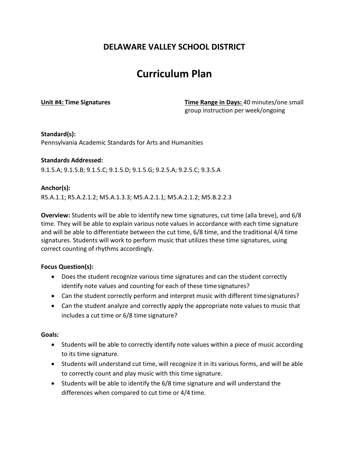# **Curriculum Plan**

**Unit #4: Time Signatures Time Range in Days:** 40 minutes/one small group instruction per week/ongoing

#### **Standard(s):**

Pennsylvania Academic Standards for Arts and Humanities

#### **Standards Addressed:**

9.1.5.A; 9.1.5.B; 9.1.5.C; 9.1.5.D; 9.1.5.G; 9.2.5.A; 9.2.5.C; 9.3.5.A

#### **Anchor(s):**

R5.A.1.1; R5.A.2.1.2; M5.A.1.3.3; M5.A.2.1.1; M5.A.2.1.2; M5.B.2.2.3

**Overview:** Students will be able to identify new time signatures, cut time (alla breve), and 6/8 time. They will be able to explain various note values in accordance with each time signature and will be able to differentiate between the cut time, 6/8 time, and the traditional 4/4 time signatures. Students will work to perform music that utilizes these time signatures, using correct counting of rhythms accordingly.

#### **Focus Question(s):**

- Does the student recognize various time signatures and can the student correctly identify note values and counting for each of these time signatures?
- Can the student correctly perform and interpret music with different timesignatures?
- Can the student analyze and correctly apply the appropriate note values to music that includes a cut time or 6/8 time signature?

#### **Goals:**

- Students will be able to correctly identify note values within a piece of music according to its time signature.
- Students will understand cut time, will recognize it in its various forms, and will be able to correctly count and play music with this time signature.
- Students will be able to identify the 6/8 time signature and will understand the differences when compared to cut time or 4/4 time.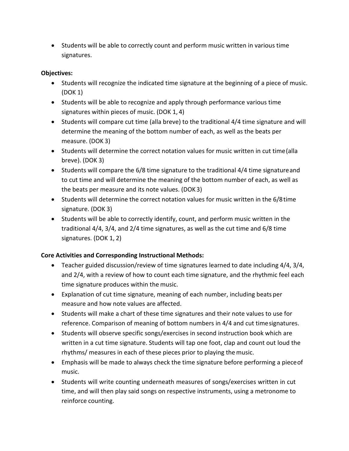• Students will be able to correctly count and perform music written in various time signatures.

#### **Objectives:**

- Students will recognize the indicated time signature at the beginning of a piece of music. (DOK 1)
- Students will be able to recognize and apply through performance various time signatures within pieces of music. (DOK 1, 4)
- Students will compare cut time (alla breve) to the traditional 4/4 time signature and will determine the meaning of the bottom number of each, as well as the beats per measure. (DOK 3)
- Students will determine the correct notation values for music written in cut time(alla breve). (DOK 3)
- Students will compare the 6/8 time signature to the traditional 4/4 time signatureand to cut time and will determine the meaning of the bottom number of each, as well as the beats per measure and its note values. (DOK 3)
- Students will determine the correct notation values for music written in the 6/8time signature. (DOK 3)
- Students will be able to correctly identify, count, and perform music written in the traditional 4/4, 3/4, and 2/4 time signatures, as well as the cut time and 6/8 time signatures. (DOK 1, 2)

#### **Core Activities and Corresponding Instructional Methods:**

- Teacher guided discussion/review of time signatures learned to date including 4/4, 3/4, and 2/4, with a review of how to count each time signature, and the rhythmic feel each time signature produces within the music.
- Explanation of cut time signature, meaning of each number, including beats per measure and how note values are affected.
- Students will make a chart of these time signatures and their note values to use for reference. Comparison of meaning of bottom numbers in 4/4 and cut timesignatures.
- Students will observe specific songs/exercises in second instruction book which are written in a cut time signature. Students will tap one foot, clap and count out loud the rhythms/ measures in each of these pieces prior to playing themusic.
- Emphasis will be made to always check the time signature before performing a pieceof music.
- Students will write counting underneath measures of songs/exercises written in cut time, and will then play said songs on respective instruments, using a metronome to reinforce counting.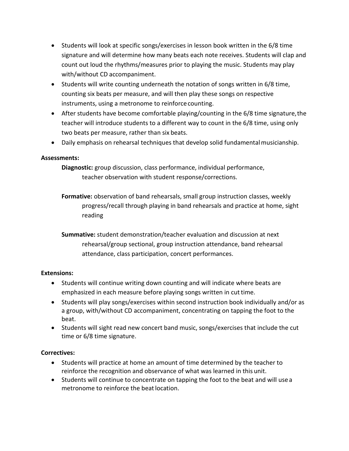- Students will look at specific songs/exercises in lesson book written in the 6/8 time signature and will determine how many beats each note receives. Students will clap and count out loud the rhythms/measures prior to playing the music. Students may play with/without CD accompaniment.
- Students will write counting underneath the notation of songs written in 6/8 time, counting six beats per measure, and will then play these songs on respective instruments, using a metronome to reinforce counting.
- After students have become comfortable playing/counting in the 6/8 time signature, the teacher will introduce students to a different way to count in the 6/8 time, using only two beats per measure, rather than six beats.
- Daily emphasis on rehearsal techniques that develop solid fundamental musicianship.

#### **Assessments:**

**Diagnostic:** group discussion, class performance, individual performance, teacher observation with student response/corrections.

**Formative:** observation of band rehearsals, small group instruction classes, weekly progress/recall through playing in band rehearsals and practice at home, sight reading

**Summative:** student demonstration/teacher evaluation and discussion at next rehearsal/group sectional, group instruction attendance, band rehearsal attendance, class participation, concert performances.

#### **Extensions:**

- Students will continue writing down counting and will indicate where beats are emphasized in each measure before playing songs written in cut time.
- Students will play songs/exercises within second instruction book individually and/or as a group, with/without CD accompaniment, concentrating on tapping the foot to the beat.
- Students will sight read new concert band music, songs/exercises that include the cut time or 6/8 time signature.

#### **Correctives:**

- Students will practice at home an amount of time determined by the teacher to reinforce the recognition and observance of what was learned in this unit.
- Students will continue to concentrate on tapping the foot to the beat and will use a metronome to reinforce the beat location.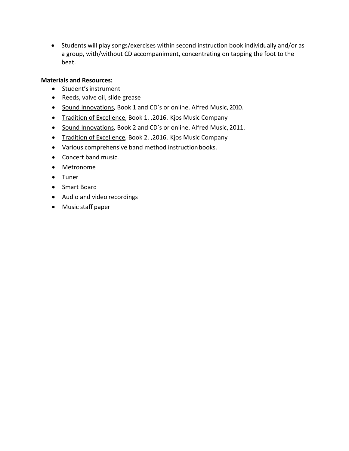• Students will play songs/exercises within second instruction book individually and/or as a group, with/without CD accompaniment, concentrating on tapping the foot to the beat.

#### **Materials and Resources:**

- Student'sinstrument
- Reeds, valve oil, slide grease
- Sound Innovations, Book 1 and CD's or online. Alfred Music, 2010.
- Tradition of Excellence, Book 1. ,2016. Kjos Music Company
- Sound Innovations, Book 2 and CD's or online. Alfred Music, 2011.
- Tradition of Excellence, Book 2., 2016. Kjos Music Company
- Various comprehensive band method instruction books.
- Concert band music.
- Metronome
- Tuner
- Smart Board
- Audio and video recordings
- Music staff paper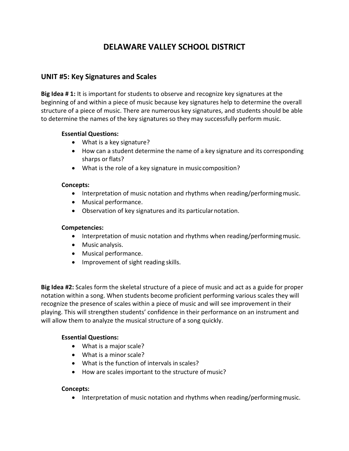### **UNIT #5: Key Signatures and Scales**

**Big Idea # 1:** It is important for students to observe and recognize key signatures at the beginning of and within a piece of music because key signatures help to determine the overall structure of a piece of music. There are numerous key signatures, and students should be able to determine the names of the key signatures so they may successfully perform music.

#### **Essential Questions:**

- What is a key signature?
- How can a student determine the name of a key signature and its corresponding sharps or flats?
- What is the role of a key signature in musiccomposition?

#### **Concepts:**

- Interpretation of music notation and rhythms when reading/performing music.
- Musical performance.
- Observation of key signatures and its particularnotation.

#### **Competencies:**

- Interpretation of music notation and rhythms when reading/performing music.
- Music analysis.
- Musical performance.
- Improvement of sight reading skills.

**Big Idea #2:** Scales form the skeletal structure of a piece of music and act as a guide for proper notation within a song. When students become proficient performing various scales they will recognize the presence of scales within a piece of music and will see improvement in their playing. This will strengthen students' confidence in their performance on an instrument and will allow them to analyze the musical structure of a song quickly.

#### **Essential Questions:**

- What is a major scale?
- What is a minor scale?
- What is the function of intervals in scales?
- How are scales important to the structure of music?

#### **Concepts:**

• Interpretation of music notation and rhythms when reading/performing music.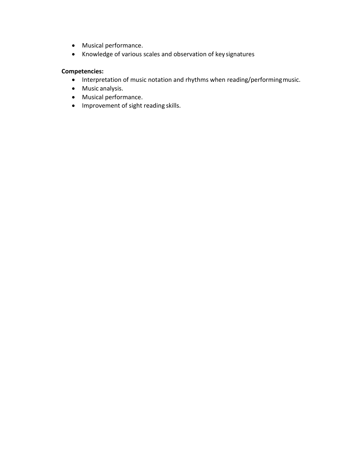- Musical performance.
- Knowledge of various scales and observation of key signatures

- Interpretation of music notation and rhythms when reading/performingmusic.
- Music analysis.
- Musical performance.
- Improvement of sight reading skills.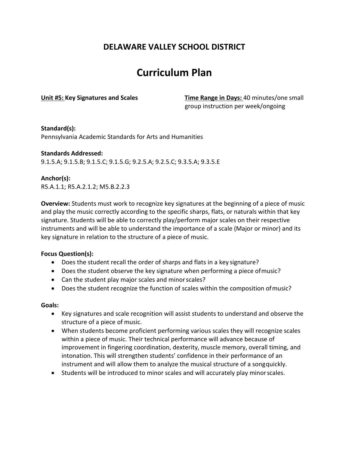# **Curriculum Plan**

**Unit #5: Key Signatures and Scales Time Range in Days:** 40 minutes/one small group instruction per week/ongoing

#### **Standard(s):**

Pennsylvania Academic Standards for Arts and Humanities

#### **Standards Addressed:** 9.1.5.A; 9.1.5.B; 9.1.5.C; 9.1.5.G; 9.2.5.A; 9.2.5.C; 9.3.5.A; 9.3.5.E

#### **Anchor(s):**

R5.A.1.1; R5.A.2.1.2; M5.B.2.2.3

**Overview:** Students must work to recognize key signatures at the beginning of a piece of music and play the music correctly according to the specific sharps, flats, or naturals within that key signature. Students will be able to correctly play/perform major scales on their respective instruments and will be able to understand the importance of a scale (Major or minor) and its key signature in relation to the structure of a piece of music.

#### **Focus Question(s):**

- Does the student recall the order of sharps and flats in a key signature?
- Does the student observe the key signature when performing a piece ofmusic?
- Can the student play major scales and minor scales?
- Does the student recognize the function of scales within the composition ofmusic?

#### **Goals:**

- Key signatures and scale recognition will assist students to understand and observe the structure of a piece of music.
- When students become proficient performing various scales they will recognize scales within a piece of music. Their technical performance will advance because of improvement in fingering coordination, dexterity, muscle memory, overall timing, and intonation. This will strengthen students' confidence in their performance of an instrument and will allow them to analyze the musical structure of a songquickly.
- Students will be introduced to minor scales and will accurately play minorscales.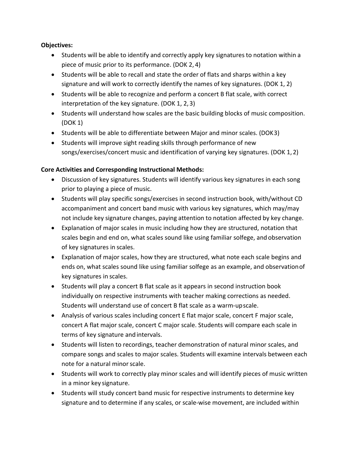#### **Objectives:**

- Students will be able to identify and correctly apply key signatures to notation within a piece of music prior to its performance. (DOK 2, 4)
- Students will be able to recall and state the order of flats and sharps within a key signature and will work to correctly identify the names of key signatures. (DOK 1, 2)
- Students will be able to recognize and perform a concert B flat scale, with correct interpretation of the key signature. (DOK 1, 2, 3)
- Students will understand how scales are the basic building blocks of music composition. (DOK 1)
- Students will be able to differentiate between Major and minor scales. (DOK3)
- Students will improve sight reading skills through performance of new songs/exercises/concert music and identification of varying key signatures. (DOK 1, 2)

#### **Core Activities and Corresponding Instructional Methods:**

- Discussion of key signatures. Students will identify various key signatures in each song prior to playing a piece of music.
- Students will play specific songs/exercises in second instruction book, with/without CD accompaniment and concert band music with various key signatures, which may/may not include key signature changes, paying attention to notation affected by key change.
- Explanation of major scales in music including how they are structured, notation that scales begin and end on, what scales sound like using familiar solfege, and observation of key signatures in scales.
- Explanation of major scales, how they are structured, what note each scale begins and ends on, what scales sound like using familiar solfege as an example, and observationof key signatures in scales.
- Students will play a concert B flat scale as it appears in second instruction book individually on respective instruments with teacher making corrections as needed. Students will understand use of concert B flat scale as a warm‐upscale.
- Analysis of various scales including concert E flat major scale, concert F major scale, concert A flat major scale, concert C major scale. Students will compare each scale in terms of key signature and intervals.
- Students will listen to recordings, teacher demonstration of natural minor scales, and compare songs and scales to major scales. Students will examine intervals between each note for a natural minor scale.
- Students will work to correctly play minor scales and will identify pieces of music written in a minor key signature.
- Students will study concert band music for respective instruments to determine key signature and to determine if any scales, or scale‐wise movement, are included within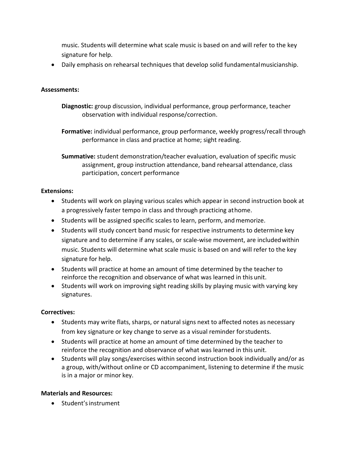music. Students will determine what scale music is based on and will refer to the key signature for help.

• Daily emphasis on rehearsal techniques that develop solid fundamentalmusicianship.

#### **Assessments:**

- **Diagnostic:** group discussion, individual performance, group performance, teacher observation with individual response/correction.
- **Formative:** individual performance, group performance, weekly progress/recall through performance in class and practice at home; sight reading.

**Summative:** student demonstration/teacher evaluation, evaluation of specific music assignment, group instruction attendance, band rehearsal attendance, class participation, concert performance

#### **Extensions:**

- Students will work on playing various scales which appear in second instruction book at a progressively faster tempo in class and through practicing athome.
- Students will be assigned specific scales to learn, perform, and memorize.
- Students will study concert band music for respective instruments to determine key signature and to determine if any scales, or scale-wise movement, are included within music. Students will determine what scale music is based on and will refer to the key signature for help.
- Students will practice at home an amount of time determined by the teacher to reinforce the recognition and observance of what was learned in this unit.
- Students will work on improving sight reading skills by playing music with varying key signatures.

#### **Correctives:**

- Students may write flats, sharps, or natural signs next to affected notes as necessary from key signature or key change to serve as a visual reminder forstudents.
- Students will practice at home an amount of time determined by the teacher to reinforce the recognition and observance of what was learned in this unit.
- Students will play songs/exercises within second instruction book individually and/or as a group, with/without online or CD accompaniment, listening to determine if the music is in a major or minor key.

#### **Materials and Resources:**

• Student'sinstrument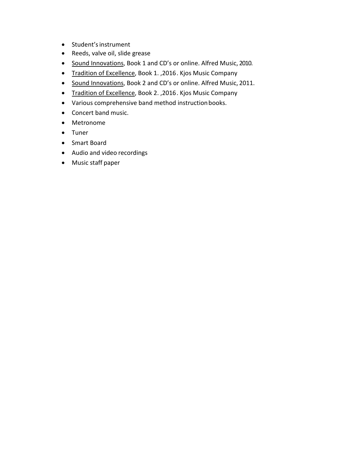- Student'sinstrument
- Reeds, valve oil, slide grease
- Sound Innovations, Book 1 and CD's or online. Alfred Music, 2010.
- Tradition of Excellence, Book 1., 2016. Kjos Music Company
- Sound Innovations, Book 2 and CD's or online. Alfred Music, 2011.
- Tradition of Excellence, Book 2., 2016. Kjos Music Company
- Various comprehensive band method instruction books.
- Concert band music.
- Metronome
- Tuner
- Smart Board
- Audio and video recordings
- Music staff paper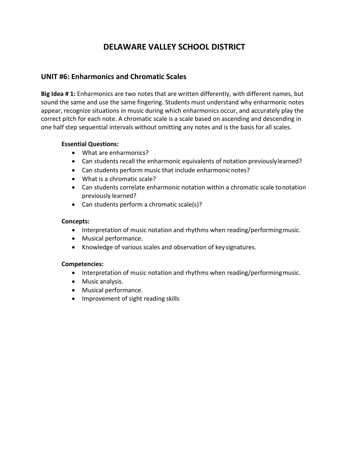### **UNIT #6: Enharmonics and Chromatic Scales**

**Big Idea # 1:** Enharmonics are two notes that are written differently, with different names, but sound the same and use the same fingering. Students must understand why enharmonic notes appear, recognize situations in music during which enharmonics occur, and accurately play the correct pitch for each note. A chromatic scale is a scale based on ascending and descending in one half step sequential intervals without omitting any notes and is the basis for all scales.

#### **Essential Questions:**

- What are enharmonics?
- Can students recall the enharmonic equivalents of notation previouslylearned?
- Can students perform music that include enharmonic notes?
- What is a chromatic scale?
- Can students correlate enharmonic notation within a chromatic scale tonotation previously learned?
- Can students perform a chromatic scale(s)?

#### **Concepts:**

- Interpretation of music notation and rhythms when reading/performingmusic.
- Musical performance.
- Knowledge of various scales and observation of key signatures.

- Interpretation of music notation and rhythms when reading/performing music.
- Music analysis.
- Musical performance.
- Improvement of sight reading skills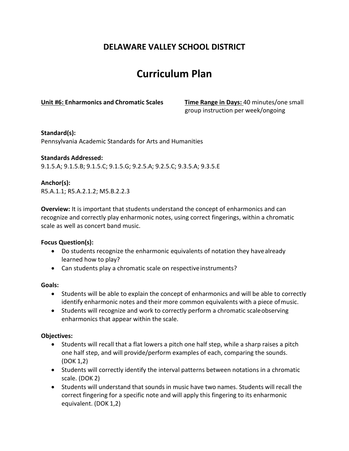# **Curriculum Plan**

**Unit #6: Enharmonics and Chromatic Scales Time Range in Days:** 40 minutes/one small

group instruction per week/ongoing

#### **Standard(s):**

Pennsylvania Academic Standards for Arts and Humanities

#### **Standards Addressed:** 9.1.5.A; 9.1.5.B; 9.1.5.C; 9.1.5.G; 9.2.5.A; 9.2.5.C; 9.3.5.A; 9.3.5.E

**Anchor(s):** R5.A.1.1; R5.A.2.1.2; M5.B.2.2.3

**Overview:** It is important that students understand the concept of enharmonics and can recognize and correctly play enharmonic notes, using correct fingerings, within a chromatic scale as well as concert band music.

#### **Focus Question(s):**

- Do students recognize the enharmonic equivalents of notation they have already learned how to play?
- Can students play a chromatic scale on respective instruments?

#### **Goals:**

- Students will be able to explain the concept of enharmonics and will be able to correctly identify enharmonic notes and their more common equivalents with a piece ofmusic.
- Students will recognize and work to correctly perform a chromatic scaleobserving enharmonics that appear within the scale.

#### **Objectives:**

- Students will recall that a flat lowers a pitch one half step, while a sharp raises a pitch one half step, and will provide/perform examples of each, comparing the sounds. (DOK 1,2)
- Students will correctly identify the interval patterns between notations in a chromatic scale. (DOK 2)
- Students will understand that sounds in music have two names. Students will recall the correct fingering for a specific note and will apply this fingering to its enharmonic equivalent. (DOK 1,2)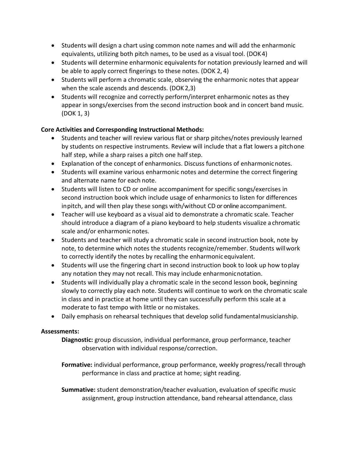- Students will design a chart using common note names and will add the enharmonic equivalents, utilizing both pitch names, to be used as a visual tool. (DOK4)
- Students will determine enharmonic equivalents for notation previously learned and will be able to apply correct fingerings to these notes. (DOK 2, 4)
- Students will perform a chromatic scale, observing the enharmonic notes that appear when the scale ascends and descends. (DOK 2,3)
- Students will recognize and correctly perform/interpret enharmonic notes as they appear in songs/exercises from the second instruction book and in concert band music. (DOK 1, 3)

#### **Core Activities and Corresponding Instructional Methods:**

- Students and teacher will review various flat or sharp pitches/notes previously learned by students on respective instruments. Review will include that a flat lowers a pitchone half step, while a sharp raises a pitch one half step.
- Explanation of the concept of enharmonics. Discuss functions of enharmonicnotes.
- Students will examine various enharmonic notes and determine the correct fingering and alternate name for each note.
- Students will listen to CD or online accompaniment for specific songs/exercises in second instruction book which include usage of enharmonics to listen for differences inpitch, and will then play these songs with/without CD or online accompaniment.
- Teacher will use keyboard as a visual aid to demonstrate a chromatic scale. Teacher should introduce a diagram of a piano keyboard to help students visualize a chromatic scale and/or enharmonic notes.
- Students and teacher will study a chromatic scale in second instruction book, note by note, to determine which notes the students recognize/remember. Students willwork to correctly identify the notes by recalling the enharmonic equivalent.
- Students will use the fingering chart in second instruction book to look up how toplay any notation they may not recall. This may include enharmonicnotation.
- Students will individually play a chromatic scale in the second lesson book, beginning slowly to correctly play each note. Students will continue to work on the chromatic scale in class and in practice at home until they can successfully perform this scale at a moderate to fast tempo with little or no mistakes.
- Daily emphasis on rehearsal techniques that develop solid fundamentalmusicianship.

#### **Assessments:**

**Diagnostic:** group discussion, individual performance, group performance, teacher observation with individual response/correction.

**Formative:** individual performance, group performance, weekly progress/recall through performance in class and practice at home; sight reading.

**Summative:** student demonstration/teacher evaluation, evaluation of specific music assignment, group instruction attendance, band rehearsal attendance, class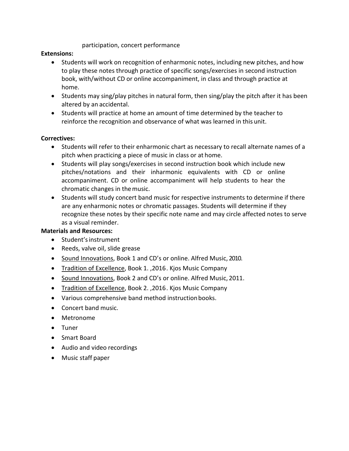#### participation, concert performance

#### **Extensions:**

- Students will work on recognition of enharmonic notes, including new pitches, and how to play these notes through practice of specific songs/exercises in second instruction book, with/without CD or online accompaniment, in class and through practice at home.
- Students may sing/play pitches in natural form, then sing/play the pitch after it has been altered by an accidental.
- Students will practice at home an amount of time determined by the teacher to reinforce the recognition and observance of what was learned in this unit.

#### **Correctives:**

- Students will refer to their enharmonic chart as necessary to recall alternate names of a pitch when practicing a piece of music in class or at home.
- Students will play songs/exercises in second instruction book which include new pitches/notations and their inharmonic equivalents with CD or online accompaniment. CD or online accompaniment will help students to hear the chromatic changes in themusic.
- Students will study concert band music for respective instruments to determine if there are any enharmonic notes or chromatic passages. Students will determine if they recognize these notes by their specific note name and may circle affected notes to serve as a visual reminder.

#### **Materials and Resources:**

- Student'sinstrument
- Reeds, valve oil, slide grease
- Sound Innovations, Book 1 and CD's or online. Alfred Music, 2010.
- Tradition of Excellence, Book 1. ,2016. Kjos Music Company
- Sound Innovations, Book 2 and CD's or online. Alfred Music, 2011.
- Tradition of Excellence, Book 2., 2016. Kjos Music Company
- Various comprehensive band method instruction books.
- Concert band music.
- Metronome
- Tuner
- Smart Board
- Audio and video recordings
- Music staff paper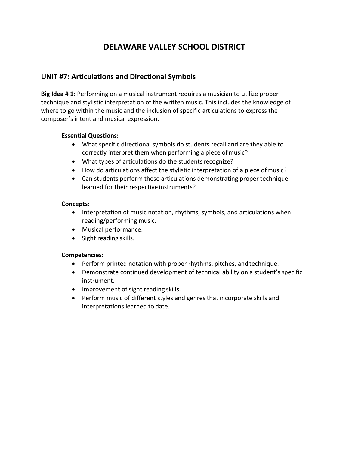### **UNIT #7: Articulations and Directional Symbols**

**Big Idea # 1:** Performing on a musical instrument requires a musician to utilize proper technique and stylistic interpretation of the written music. This includes the knowledge of where to go within the music and the inclusion of specific articulations to express the composer's intent and musical expression.

#### **Essential Questions:**

- What specific directional symbols do students recall and are they able to correctly interpret them when performing a piece ofmusic?
- What types of articulations do the studentsrecognize?
- How do articulations affect the stylistic interpretation of a piece ofmusic?
- Can students perform these articulations demonstrating proper technique learned for their respective instruments?

#### **Concepts:**

- Interpretation of music notation, rhythms, symbols, and articulations when reading/performing music.
- Musical performance.
- Sight reading skills.

- Perform printed notation with proper rhythms, pitches, and technique.
- Demonstrate continued development of technical ability on a student's specific instrument.
- Improvement of sight reading skills.
- Perform music of different styles and genres that incorporate skills and interpretations learned to date.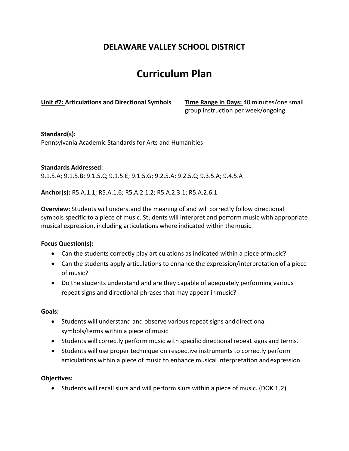# **Curriculum Plan**

**Unit #7: Articulations and Directional Symbols Time Range in Days:** 40 minutes/one small

group instruction per week/ongoing

#### **Standard(s):**

Pennsylvania Academic Standards for Arts and Humanities

#### **Standards Addressed:**

9.1.5.A; 9.1.5.B; 9.1.5.C; 9.1.5.E; 9.1.5.G; 9.2.5.A; 9.2.5.C; 9.3.5.A; 9.4.5.A

**Anchor(s):** R5.A.1.1; R5.A.1.6; R5.A.2.1.2; R5.A.2.3.1; R5.A.2.6.1

**Overview:** Students will understand the meaning of and will correctly follow directional symbols specific to a piece of music. Students will interpret and perform music with appropriate musical expression, including articulations where indicated within themusic.

#### **Focus Question(s):**

- Can the students correctly play articulations as indicated within a piece ofmusic?
- Can the students apply articulations to enhance the expression/interpretation of a piece of music?
- Do the students understand and are they capable of adequately performing various repeat signs and directional phrases that may appear in music?

#### **Goals:**

- Students will understand and observe various repeat signs anddirectional symbols/terms within a piece of music.
- Students will correctly perform music with specific directional repeat signs and terms.
- Students will use proper technique on respective instruments to correctly perform articulations within a piece of music to enhance musical interpretation andexpression.

#### **Objectives:**

• Students will recall slurs and will perform slurs within a piece of music. (DOK 1,2)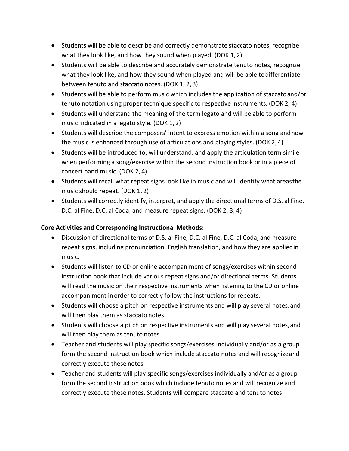- Students will be able to describe and correctly demonstrate staccato notes, recognize what they look like, and how they sound when played. (DOK 1, 2)
- Students will be able to describe and accurately demonstrate tenuto notes, recognize what they look like, and how they sound when played and will be able todifferentiate between tenuto and staccato notes. (DOK 1, 2, 3)
- Students will be able to perform music which includes the application of staccatoand/or tenuto notation using proper technique specific to respective instruments. (DOK 2, 4)
- Students will understand the meaning of the term legato and will be able to perform music indicated in a legato style. (DOK 1, 2)
- Students will describe the composers' intent to express emotion within a song andhow the music is enhanced through use of articulations and playing styles. (DOK 2, 4)
- Students will be introduced to, will understand, and apply the articulation term simile when performing a song/exercise within the second instruction book or in a piece of concert band music. (DOK 2, 4)
- Students will recall what repeat signs look like in music and will identify what areasthe music should repeat. (DOK 1, 2)
- Students will correctly identify, interpret, and apply the directional terms of D.S. al Fine, D.C. al Fine, D.C. al Coda, and measure repeat signs. (DOK 2, 3, 4)

#### **Core Activities and Corresponding Instructional Methods:**

- Discussion of directional terms of D.S. al Fine, D.C. al Fine, D.C. al Coda, and measure repeat signs, including pronunciation, English translation, and how they are appliedin music.
- Students will listen to CD or online accompaniment of songs/exercises within second instruction book that include various repeat signs and/or directional terms. Students will read the music on their respective instruments when listening to the CD or online accompaniment in order to correctly follow the instructions for repeats.
- Students will choose a pitch on respective instruments and will play several notes,and will then play them as staccato notes.
- Students will choose a pitch on respective instruments and will play several notes, and will then play them as tenuto notes.
- Teacher and students will play specific songs/exercises individually and/or as a group form the second instruction book which include staccato notes and will recognizeand correctly execute these notes.
- Teacher and students will play specific songs/exercises individually and/or as a group form the second instruction book which include tenuto notes and will recognize and correctly execute these notes. Students will compare staccato and tenutonotes.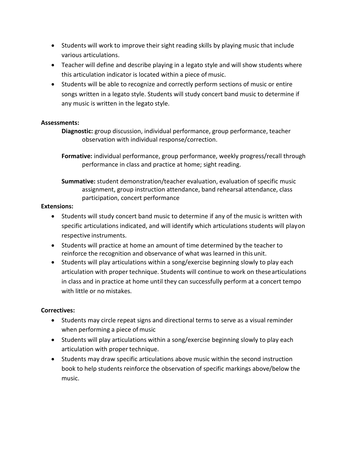- Students will work to improve their sight reading skills by playing music that include various articulations.
- Teacher will define and describe playing in a legato style and will show students where this articulation indicator is located within a piece of music.
- Students will be able to recognize and correctly perform sections of music or entire songs written in a legato style. Students will study concert band music to determine if any music is written in the legato style.

#### **Assessments:**

**Diagnostic:** group discussion, individual performance, group performance, teacher observation with individual response/correction.

**Formative:** individual performance, group performance, weekly progress/recall through performance in class and practice at home; sight reading.

**Summative:** student demonstration/teacher evaluation, evaluation of specific music assignment, group instruction attendance, band rehearsal attendance, class participation, concert performance

#### **Extensions:**

- Students will study concert band music to determine if any of the music is written with specific articulations indicated, and will identify which articulations students will playon respective instruments.
- Students will practice at home an amount of time determined by the teacher to reinforce the recognition and observance of what was learned in this unit.
- Students will play articulations within a song/exercise beginning slowly to play each articulation with proper technique. Students will continue to work on these articulations in class and in practice at home until they can successfully perform at a concert tempo with little or no mistakes.

#### **Correctives:**

- Students may circle repeat signs and directional terms to serve as a visual reminder when performing a piece of music
- Students will play articulations within a song/exercise beginning slowly to play each articulation with proper technique.
- Students may draw specific articulations above music within the second instruction book to help students reinforce the observation of specific markings above/below the music.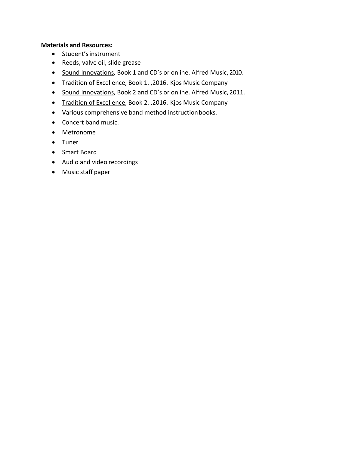#### **Materials and Resources:**

- Student'sinstrument
- Reeds, valve oil, slide grease
- Sound Innovations, Book 1 and CD's or online. Alfred Music, 2010.
- Tradition of Excellence, Book 1., 2016. Kjos Music Company
- Sound Innovations, Book 2 and CD's or online. Alfred Music, 2011.
- Tradition of Excellence, Book 2. ,2016. Kjos Music Company
- Various comprehensive band method instructionbooks.
- Concert band music.
- Metronome
- Tuner
- Smart Board
- Audio and video recordings
- Music staff paper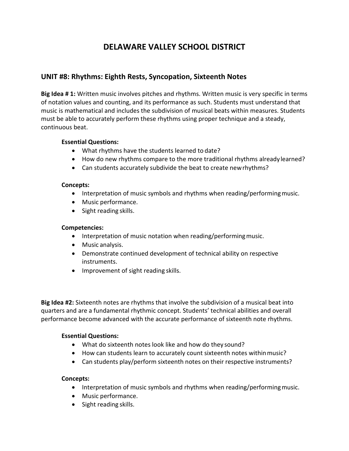#### **UNIT #8: Rhythms: Eighth Rests, Syncopation, Sixteenth Notes**

**Big Idea # 1:** Written music involves pitches and rhythms. Written music is very specific in terms of notation values and counting, and its performance as such. Students must understand that music is mathematical and includes the subdivision of musical beats within measures. Students must be able to accurately perform these rhythms using proper technique and a steady, continuous beat.

#### **Essential Questions:**

- What rhythms have the students learned to date?
- How do new rhythms compare to the more traditional rhythms already learned?
- Can students accurately subdivide the beat to create newrhythms?

#### **Concepts:**

- Interpretation of music symbols and rhythms when reading/performing music.
- Music performance.
- Sight reading skills.

#### **Competencies:**

- Interpretation of music notation when reading/performing music.
- Music analysis.
- Demonstrate continued development of technical ability on respective instruments.
- Improvement of sight reading skills.

**Big Idea #2:** Sixteenth notes are rhythms that involve the subdivision of a musical beat into quarters and are a fundamental rhythmic concept. Students' technical abilities and overall performance become advanced with the accurate performance of sixteenth note rhythms.

#### **Essential Questions:**

- What do sixteenth notes look like and how do they sound?
- How can students learn to accurately count sixteenth notes within music?
- Can students play/perform sixteenth notes on their respective instruments?

#### **Concepts:**

- Interpretation of music symbols and rhythms when reading/performing music.
- Music performance.
- Sight reading skills.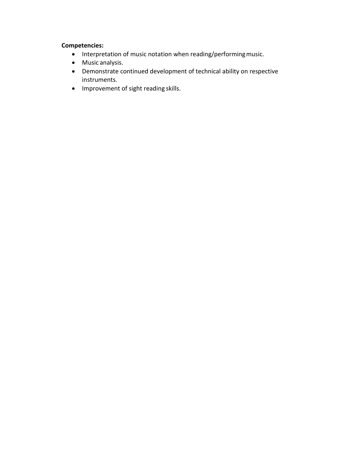#### **Competencies:**

- Interpretation of music notation when reading/performingmusic.
- Music analysis.
- Demonstrate continued development of technical ability on respective instruments.
- Improvement of sight reading skills.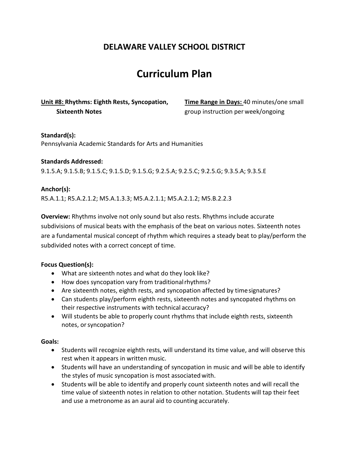## **Curriculum Plan**

**Unit #8: Rhythms: Eighth Rests, Syncopation, Time Range in Days:** 40 minutes/one small **Sixteenth Notes Sixteenth Notes notes group** instruction per week/ongoing

#### **Standard(s):**

Pennsylvania Academic Standards for Arts and Humanities

#### **Standards Addressed:**

9.1.5.A; 9.1.5.B; 9.1.5.C; 9.1.5.D; 9.1.5.G; 9.2.5.A; 9.2.5.C; 9.2.5.G; 9.3.5.A; 9.3.5.E

#### **Anchor(s):**

R5.A.1.1; R5.A.2.1.2; M5.A.1.3.3; M5.A.2.1.1; M5.A.2.1.2; M5.B.2.2.3

**Overview:** Rhythms involve not only sound but also rests. Rhythms include accurate subdivisions of musical beats with the emphasis of the beat on various notes. Sixteenth notes are a fundamental musical concept of rhythm which requires a steady beat to play/perform the subdivided notes with a correct concept of time.

#### **Focus Question(s):**

- What are sixteenth notes and what do they look like?
- How does syncopation vary from traditionalrhythms?
- Are sixteenth notes, eighth rests, and syncopation affected by timesignatures?
- Can students play/perform eighth rests, sixteenth notes and syncopated rhythms on their respective instruments with technical accuracy?
- Will students be able to properly count rhythms that include eighth rests, sixteenth notes, orsyncopation?

#### **Goals:**

- Students will recognize eighth rests, will understand its time value, and will observe this rest when it appears in written music.
- Students will have an understanding of syncopation in music and will be able to identify the styles of music syncopation is most associated with.
- Students will be able to identify and properly count sixteenth notes and will recall the time value of sixteenth notes in relation to other notation. Students will tap their feet and use a metronome as an aural aid to counting accurately.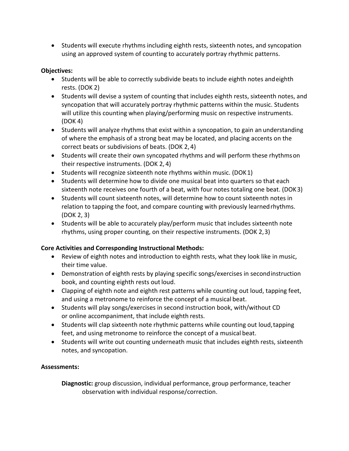• Students will execute rhythms including eighth rests, sixteenth notes, and syncopation using an approved system of counting to accurately portray rhythmic patterns.

#### **Objectives:**

- Students will be able to correctly subdivide beats to include eighth notes andeighth rests. (DOK 2)
- Students will devise a system of counting that includes eighth rests, sixteenth notes, and syncopation that will accurately portray rhythmic patterns within the music. Students will utilize this counting when playing/performing music on respective instruments. (DOK 4)
- Students will analyze rhythms that exist within a syncopation, to gain an understanding of where the emphasis of a strong beat may be located, and placing accents on the correct beats or subdivisions of beats. (DOK 2, 4)
- Students will create their own syncopated rhythms and will perform these rhythmson their respective instruments. (DOK 2, 4)
- Students will recognize sixteenth note rhythms within music. (DOK1)
- Students will determine how to divide one musical beat into quarters so that each sixteenth note receives one fourth of a beat, with four notes totaling one beat. (DOK3)
- Students will count sixteenth notes, will determine how to count sixteenth notes in relation to tapping the foot, and compare counting with previously learnedrhythms. (DOK 2, 3)
- Students will be able to accurately play/perform music that includes sixteenth note rhythms, using proper counting, on their respective instruments. (DOK 2,3)

#### **Core Activities and Corresponding Instructional Methods:**

- Review of eighth notes and introduction to eighth rests, what they look like in music, their time value.
- Demonstration of eighth rests by playing specific songs/exercises in secondinstruction book, and counting eighth rests out loud.
- Clapping of eighth note and eighth rest patterns while counting out loud, tapping feet, and using a metronome to reinforce the concept of a musical beat.
- Students will play songs/exercises in second instruction book, with/without CD or online accompaniment, that include eighth rests.
- Students will clap sixteenth note rhythmic patterns while counting out loud, tapping feet, and using metronome to reinforce the concept of a musical beat.
- Students will write out counting underneath music that includes eighth rests, sixteenth notes, and syncopation.

#### **Assessments:**

**Diagnostic:** group discussion, individual performance, group performance, teacher observation with individual response/correction.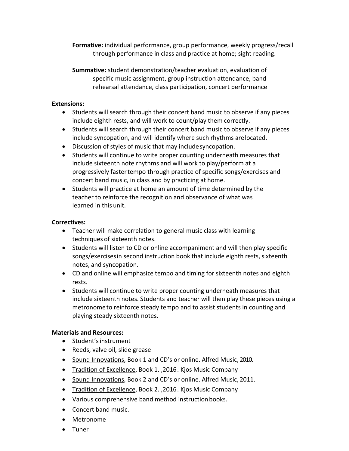**Formative:** individual performance, group performance, weekly progress/recall through performance in class and practice at home; sight reading.

**Summative:** student demonstration/teacher evaluation, evaluation of specific music assignment, group instruction attendance, band rehearsal attendance, class participation, concert performance

#### **Extensions:**

- Students will search through their concert band music to observe if any pieces include eighth rests, and will work to count/play them correctly.
- Students will search through their concert band music to observe if any pieces include syncopation, and will identify where such rhythms arelocated.
- Discussion of styles of music that may includesyncopation.
- Students will continue to write proper counting underneath measures that include sixteenth note rhythms and will work to play/perform at a progressively fastertempo through practice of specific songs/exercises and concert band music, in class and by practicing at home.
- Students will practice at home an amount of time determined by the teacher to reinforce the recognition and observance of what was learned in this unit.

#### **Correctives:**

- Teacher will make correlation to general music class with learning techniques of sixteenth notes.
- Students will listen to CD or online accompaniment and will then play specific songs/exercisesin second instruction book that include eighth rests, sixteenth notes, and syncopation.
- CD and online will emphasize tempo and timing for sixteenth notes and eighth rests.
- Students will continue to write proper counting underneath measures that include sixteenth notes. Students and teacher will then play these pieces using a metronometo reinforce steady tempo and to assist students in counting and playing steady sixteenth notes.

#### **Materials and Resources:**

- Student'sinstrument
- Reeds, valve oil, slide grease
- Sound Innovations, Book 1 and CD's or online. Alfred Music, 2010.
- Tradition of Excellence, Book 1. ,2016. Kjos Music Company
- Sound Innovations, Book 2 and CD's or online. Alfred Music, 2011.
- Tradition of Excellence, Book 2. ,2016. Kjos Music Company
- Various comprehensive band method instructionbooks.
- Concert band music.
- Metronome
- Tuner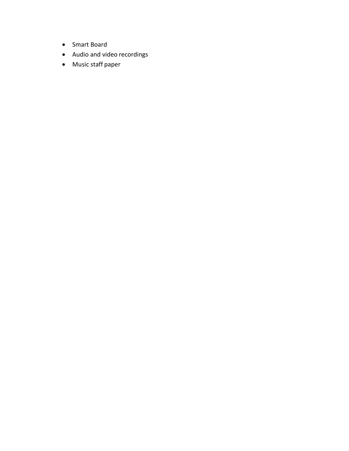- Smart Board
- Audio and video recordings
- Music staff paper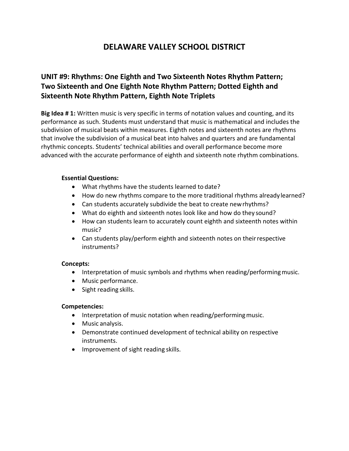### **UNIT #9: Rhythms: One Eighth and Two Sixteenth Notes Rhythm Pattern; Two Sixteenth and One Eighth Note Rhythm Pattern; Dotted Eighth and Sixteenth Note Rhythm Pattern, Eighth Note Triplets**

**Big Idea # 1:** Written music is very specific in terms of notation values and counting, and its performance as such. Students must understand that music is mathematical and includes the subdivision of musical beats within measures. Eighth notes and sixteenth notes are rhythms that involve the subdivision of a musical beat into halves and quarters and are fundamental rhythmic concepts. Students' technical abilities and overall performance become more advanced with the accurate performance of eighth and sixteenth note rhythm combinations.

#### **Essential Questions:**

- What rhythms have the students learned to date?
- How do new rhythms compare to the more traditional rhythms already learned?
- Can students accurately subdivide the beat to create newrhythms?
- What do eighth and sixteenth notes look like and how do they sound?
- How can students learn to accurately count eighth and sixteenth notes within music?
- Can students play/perform eighth and sixteenth notes on theirrespective instruments?

#### **Concepts:**

- Interpretation of music symbols and rhythms when reading/performing music.
- Music performance.
- Sight reading skills.

#### **Competencies:**

- Interpretation of music notation when reading/performing music.
- Music analysis.
- Demonstrate continued development of technical ability on respective instruments.
- Improvement of sight reading skills.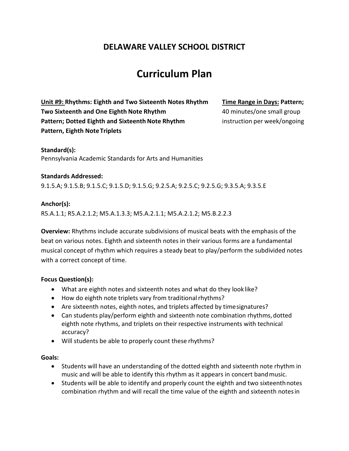## **Curriculum Plan**

**Unit #9: Rhythms: Eighth and Two Sixteenth Notes Rhythm Time Range in Days: Pattern; Two Sixteenth and One Eighth Note Rhythm 40 minutes/one small group Pattern; Dotted Eighth and Sixteenth Note Rhythm instruction per week/ongoing Pattern, Eighth Note Triplets**

#### **Standard(s):**

Pennsylvania Academic Standards for Arts and Humanities

#### **Standards Addressed:**

9.1.5.A; 9.1.5.B; 9.1.5.C; 9.1.5.D; 9.1.5.G; 9.2.5.A; 9.2.5.C; 9.2.5.G; 9.3.5.A; 9.3.5.E

#### **Anchor(s):**

R5.A.1.1; R5.A.2.1.2; M5.A.1.3.3; M5.A.2.1.1; M5.A.2.1.2; M5.B.2.2.3

**Overview:** Rhythms include accurate subdivisions of musical beats with the emphasis of the beat on various notes. Eighth and sixteenth notes in their various forms are a fundamental musical concept of rhythm which requires a steady beat to play/perform the subdivided notes with a correct concept of time.

#### **Focus Question(s):**

- What are eighth notes and sixteenth notes and what do they look like?
- How do eighth note triplets vary from traditional rhythms?
- Are sixteenth notes, eighth notes, and triplets affected by timesignatures?
- Can students play/perform eighth and sixteenth note combination rhythms, dotted eighth note rhythms, and triplets on their respective instruments with technical accuracy?
- Will students be able to properly count these rhythms?

#### **Goals:**

- Students will have an understanding of the dotted eighth and sixteenth note rhythm in music and will be able to identify this rhythm as it appears in concert bandmusic.
- Students will be able to identify and properly count the eighth and two sixteenthnotes combination rhythm and will recall the time value of the eighth and sixteenth notesin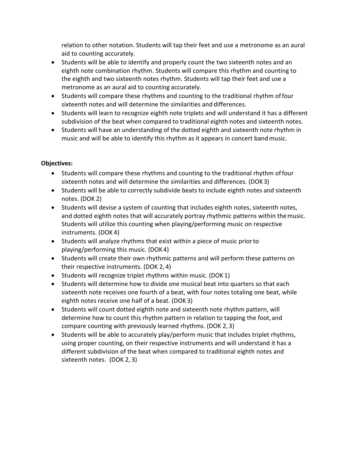relation to other notation. Students will tap their feet and use a metronome as an aural aid to counting accurately.

- Students will be able to identify and properly count the two sixteenth notes and an eighth note combination rhythm. Students will compare this rhythm and counting to the eighth and two sixteenth notes rhythm. Students will tap their feet and use a metronome as an aural aid to counting accurately.
- Students will compare these rhythms and counting to the traditional rhythm offour sixteenth notes and will determine the similarities and differences.
- Students will learn to recognize eighth note triplets and will understand it has a different subdivision of the beat when compared to traditional eighth notes and sixteenth notes.
- Students will have an understanding of the dotted eighth and sixteenth note rhythm in music and will be able to identify this rhythm as it appears in concert band music.

#### **Objectives:**

- Students will compare these rhythms and counting to the traditional rhythm offour sixteenth notes and will determine the similarities and differences. (DOK 3)
- Students will be able to correctly subdivide beats to include eighth notes and sixteenth notes. (DOK 2)
- Students will devise a system of counting that includes eighth notes, sixteenth notes, and dotted eighth notes that will accurately portray rhythmic patterns within themusic. Students will utilize this counting when playing/performing music on respective instruments. (DOK 4)
- Students will analyze rhythms that exist within a piece of music priorto playing/performing this music. (DOK 4)
- Students will create their own rhythmic patterns and will perform these patterns on their respective instruments. (DOK 2, 4)
- Students will recognize triplet rhythms within music. (DOK 1)
- Students will determine how to divide one musical beat into quarters so that each sixteenth note receives one fourth of a beat, with four notes totaling one beat, while eighth notes receive one half of a beat. (DOK 3)
- Students will count dotted eighth note and sixteenth note rhythm pattern, will determine how to count this rhythm pattern in relation to tapping the foot, and compare counting with previously learned rhythms. (DOK 2, 3)
- Students will be able to accurately play/perform music that includes triplet rhythms, using proper counting, on their respective instruments and will understand it has a different subdivision of the beat when compared to traditional eighth notes and sixteenth notes. (DOK 2, 3)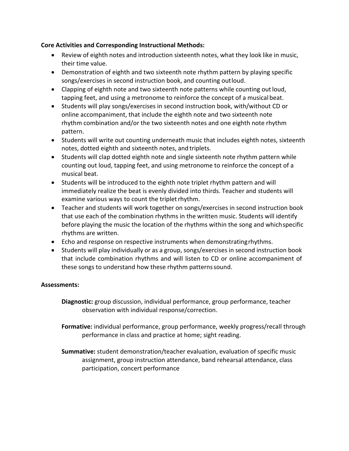#### **Core Activities and Corresponding Instructional Methods:**

- Review of eighth notes and introduction sixteenth notes, what they look like in music, their time value.
- Demonstration of eighth and two sixteenth note rhythm pattern by playing specific songs/exercises in second instruction book, and counting outloud.
- Clapping of eighth note and two sixteenth note patterns while counting out loud, tapping feet, and using a metronome to reinforce the concept of a musical beat.
- Students will play songs/exercises in second instruction book, with/without CD or online accompaniment, that include the eighth note and two sixteenth note rhythm combination and/or the two sixteenth notes and one eighth note rhythm pattern.
- Students will write out counting underneath music that includes eighth notes, sixteenth notes, dotted eighth and sixteenth notes, and triplets.
- Students will clap dotted eighth note and single sixteenth note rhythm pattern while counting out loud, tapping feet, and using metronome to reinforce the concept of a musical beat.
- Students will be introduced to the eighth note triplet rhythm pattern and will immediately realize the beat is evenly divided into thirds. Teacher and students will examine various ways to count the triplet rhythm.
- Teacher and students will work together on songs/exercises in second instruction book that use each of the combination rhythms in the written music. Students will identify before playing the music the location of the rhythms within the song and whichspecific rhythms are written.
- Echo and response on respective instruments when demonstratingrhythms.
- Students will play individually or as a group, songs/exercises in second instruction book that include combination rhythms and will listen to CD or online accompaniment of these songs to understand how these rhythm patternssound.

#### **Assessments:**

**Diagnostic:** group discussion, individual performance, group performance, teacher observation with individual response/correction.

**Formative:** individual performance, group performance, weekly progress/recall through performance in class and practice at home; sight reading.

**Summative:** student demonstration/teacher evaluation, evaluation of specific music assignment, group instruction attendance, band rehearsal attendance, class participation, concert performance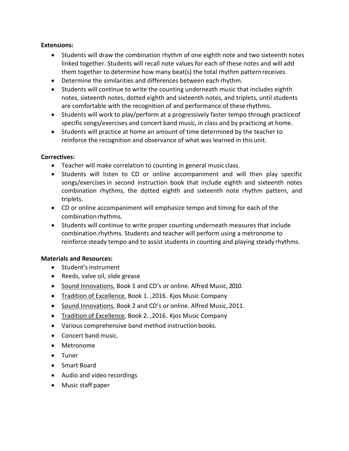#### **Extensions:**

- Students will draw the combination rhythm of one eighth note and two sixteenth notes linked together. Students will recall note values for each of these notes and will add them together to determine how many beat(s) the total rhythm patternreceives.
- Determine the similarities and differences between each rhythm.
- Students will continue to write the counting underneath music that includes eighth notes, sixteenth notes, dotted eighth and sixteenth notes, and triplets, until students are comfortable with the recognition of and performance of these rhythms.
- Students will work to play/perform at a progressively faster tempo through practiceof specific songs/exercises and concert band music, in class and by practicing at home.
- Students will practice at home an amount of time determined by the teacher to reinforce the recognition and observance of what was learned in this unit.

#### **Correctives:**

- Teacher will make correlation to counting in general music class.
- Students will listen to CD or online accompaniment and will then play specific songs/exercises in second instruction book that include eighth and sixteenth notes combination rhythms, the dotted eighth and sixteenth note rhythm pattern, and triplets.
- CD or online accompaniment will emphasize tempo and timing for each of the combinationrhythms.
- Students will continue to write proper counting underneath measures that include combination rhythms. Students and teacher will perform using a metronome to reinforce steady tempo and to assist students in counting and playing steady rhythms.

#### **Materials and Resources:**

- Student'sinstrument
- Reeds, valve oil, slide grease
- Sound Innovations, Book 1 and CD's or online. Alfred Music, 2010.
- Tradition of Excellence, Book 1. ,2016. Kjos Music Company
- Sound Innovations, Book 2 and CD's or online. Alfred Music, 2011.
- Tradition of Excellence, Book 2. ,2016. Kjos Music Company
- Various comprehensive band method instructionbooks.
- Concert band music.
- Metronome
- Tuner
- Smart Board
- Audio and video recordings
- Music staff paper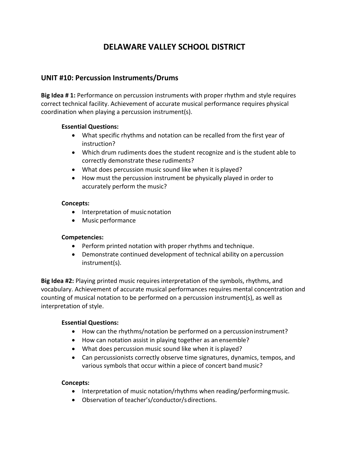#### **UNIT #10: Percussion Instruments/Drums**

**Big Idea # 1:** Performance on percussion instruments with proper rhythm and style requires correct technical facility. Achievement of accurate musical performance requires physical coordination when playing a percussion instrument(s).

#### **Essential Questions:**

- What specific rhythms and notation can be recalled from the first year of instruction?
- Which drum rudiments does the student recognize and is the student able to correctly demonstrate these rudiments?
- What does percussion music sound like when it is played?
- How must the percussion instrument be physically played in order to accurately perform the music?

#### **Concepts:**

- Interpretation of music notation
- Music performance

#### **Competencies:**

- Perform printed notation with proper rhythms and technique.
- Demonstrate continued development of technical ability on apercussion instrument(s).

**Big Idea #2:** Playing printed music requires interpretation of the symbols, rhythms, and vocabulary. Achievement of accurate musical performances requires mental concentration and counting of musical notation to be performed on a percussion instrument(s), as well as interpretation of style.

#### **Essential Questions:**

- How can the rhythms/notation be performed on a percussioninstrument?
- How can notation assist in playing together as an ensemble?
- What does percussion music sound like when it is played?
- Can percussionists correctly observe time signatures, dynamics, tempos, and various symbols that occur within a piece of concert band music?

#### **Concepts:**

- Interpretation of music notation/rhythms when reading/performing music.
- Observation of teacher's/conductor/sdirections.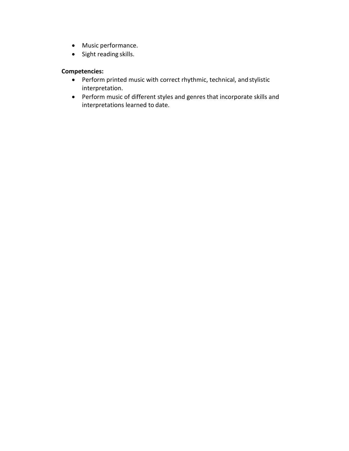- Music performance.
- Sight reading skills.

#### **Competencies:**

- Perform printed music with correct rhythmic, technical, and stylistic interpretation.
- Perform music of different styles and genres that incorporate skills and interpretations learned to date.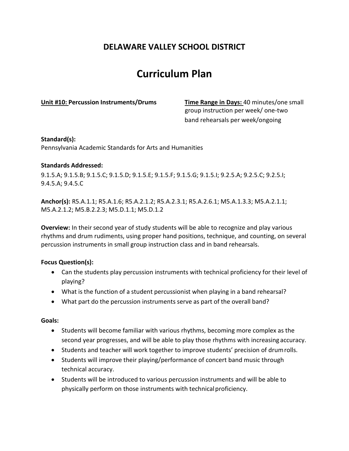## **Curriculum Plan**

**Unit #10: Percussion Instruments/Drums Time Range in Days:** 40 minutes/one small group instruction per week/ one‐two band rehearsals per week/ongoing

#### **Standard(s):**

Pennsylvania Academic Standards for Arts and Humanities

#### **Standards Addressed:**

9.1.5.A; 9.1.5.B; 9.1.5.C; 9.1.5.D; 9.1.5.E; 9.1.5.F; 9.1.5.G; 9.1.5.I; 9.2.5.A; 9.2.5.C; 9.2.5.I; 9.4.5.A; 9.4.5.C

**Anchor(s):** R5.A.1.1; R5.A.1.6; R5.A.2.1.2; R5.A.2.3.1; R5.A.2.6.1; M5.A.1.3.3; M5.A.2.1.1; M5.A.2.1.2; M5.B.2.2.3; M5.D.1.1; M5.D.1.2

**Overview:** In their second year of study students will be able to recognize and play various rhythms and drum rudiments, using proper hand positions, technique, and counting, on several percussion instruments in small group instruction class and in band rehearsals.

#### **Focus Question(s):**

- Can the students play percussion instruments with technical proficiency for their level of playing?
- What is the function of a student percussionist when playing in a band rehearsal?
- What part do the percussion instruments serve as part of the overall band?

#### **Goals:**

- Students will become familiar with various rhythms, becoming more complex as the second year progresses, and will be able to play those rhythms with increasing accuracy.
- Students and teacher will work together to improve students' precision of drumrolls.
- Students will improve their playing/performance of concert band music through technical accuracy.
- Students will be introduced to various percussion instruments and will be able to physically perform on those instruments with technicalproficiency.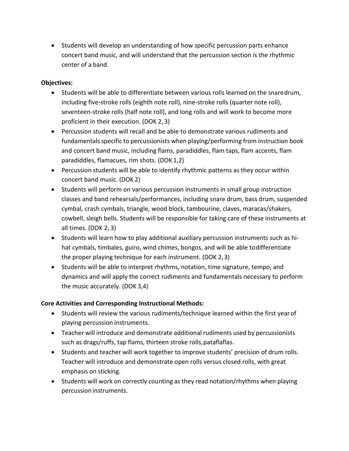• Students will develop an understanding of how specific percussion parts enhance concert band music, and will understand that the percussion section is the rhythmic center of a band.

#### **Objectives:**

- Students will be able to differentiate between various rolls learned on the snaredrum, including five‐stroke rolls (eighth note roll), nine‐stroke rolls (quarter note roll), seventeen‐stroke rolls (half note roll), and long rolls and will work to become more proficient in their execution. (DOK 2, 3)
- Percussion students will recall and be able to demonstrate various rudiments and fundamentals specific to percussionists when playing/performing from instruction book and concert band music, including flams, paradiddles, flam taps, flam accents, flam paradiddles, flamacues, rim shots. (DOK 1,2)
- Percussion students will be able to identify rhythmic patterns as they occur within concert band music. (DOK 2)
- Students will perform on various percussion instruments in small group instruction classes and band rehearsals/performances, including snare drum, bass drum, suspended cymbal, crash cymbals, triangle, wood block, tambourine, claves, maracas/shakers, cowbell, sleigh bells. Students will be responsible for taking care of these instruments at all times. (DOK 2, 3)
- Students will learn how to play additional auxiliary percussion instruments such as hi‐ hat cymbals, timbales, guiro, wind chimes, bongos, and will be able todifferentiate the proper playing technique for each instrument. (DOK 2,3)
- Students will be able to interpret rhythms, notation, time signature, tempo, and dynamics and will apply the correct rudiments and fundamentals necessary to perform the music accurately. (DOK 3,4)

#### **Core Activities and Corresponding Instructional Methods:**

- Students will review the various rudiments/technique learned within the first yearof playing percussion instruments.
- Teacher will introduce and demonstrate additional rudiments used by percussionists such as drags/ruffs, tap flams, thirteen stroke rolls,pataflaflas.
- Students and teacher will work together to improve students' precision of drum rolls. Teacher will introduce and demonstrate open rolls versus closed rolls, with great emphasis on sticking.
- Students will work on correctly counting as they read notation/rhythms when playing percussion instruments.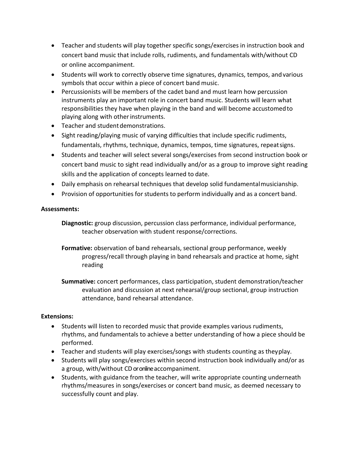- Teacher and students will play together specific songs/exercises in instruction book and concert band music that include rolls, rudiments, and fundamentals with/without CD or online accompaniment.
- Students will work to correctly observe time signatures, dynamics, tempos, andvarious symbols that occur within a piece of concert band music.
- Percussionists will be members of the cadet band and must learn how percussion instruments play an important role in concert band music. Students will learn what responsibilities they have when playing in the band and will become accustomedto playing along with otherinstruments.
- Teacher and student demonstrations.
- Sight reading/playing music of varying difficulties that include specific rudiments, fundamentals, rhythms, technique, dynamics, tempos, time signatures, repeatsigns.
- Students and teacher will select several songs/exercises from second instruction book or concert band music to sight read individually and/or as a group to improve sight reading skills and the application of concepts learned to date.
- Daily emphasis on rehearsal techniques that develop solid fundamentalmusicianship.
- Provision of opportunities for students to perform individually and as a concert band.

#### **Assessments:**

**Diagnostic:** group discussion, percussion class performance, individual performance, teacher observation with student response/corrections.

**Formative:** observation of band rehearsals, sectional group performance, weekly progress/recall through playing in band rehearsals and practice at home, sight reading

**Summative:** concert performances, class participation, student demonstration/teacher evaluation and discussion at next rehearsal/group sectional, group instruction attendance, band rehearsal attendance.

#### **Extensions:**

- Students will listen to recorded music that provide examples various rudiments, rhythms, and fundamentals to achieve a better understanding of how a piece should be performed.
- Teacher and students will play exercises/songs with students counting as theyplay.
- Students will play songs/exercises within second instruction book individually and/or as a group, with/without CD or online accompaniment.
- Students, with guidance from the teacher, will write appropriate counting underneath rhythms/measures in songs/exercises or concert band music, as deemed necessary to successfully count and play.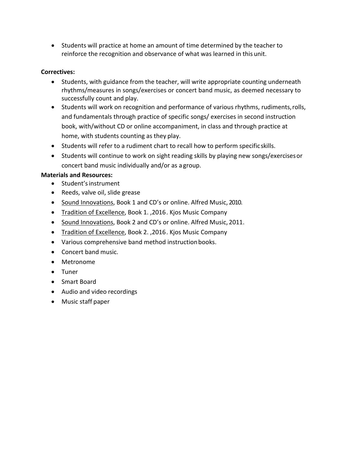• Students will practice at home an amount of time determined by the teacher to reinforce the recognition and observance of what was learned in this unit.

#### **Correctives:**

- Students, with guidance from the teacher, will write appropriate counting underneath rhythms/measures in songs/exercises or concert band music, as deemed necessary to successfully count and play.
- Students will work on recognition and performance of various rhythms, rudiments,rolls, and fundamentals through practice of specific songs/ exercises in second instruction book, with/without CD or online accompaniment, in class and through practice at home, with students counting as they play.
- Students will refer to a rudiment chart to recall how to perform specificskills.
- Students will continue to work on sight reading skills by playing new songs/exercisesor concert band music individually and/or as a group.

#### **Materials and Resources:**

- Student'sinstrument
- Reeds, valve oil, slide grease
- Sound Innovations, Book 1 and CD's or online. Alfred Music, 2010.
- Tradition of Excellence, Book 1., 2016. Kjos Music Company
- Sound Innovations, Book 2 and CD's or online. Alfred Music, 2011.
- Tradition of Excellence, Book 2. ,2016. Kjos Music Company
- Various comprehensive band method instructionbooks.
- Concert band music.
- Metronome
- Tuner
- Smart Board
- Audio and video recordings
- Music staff paper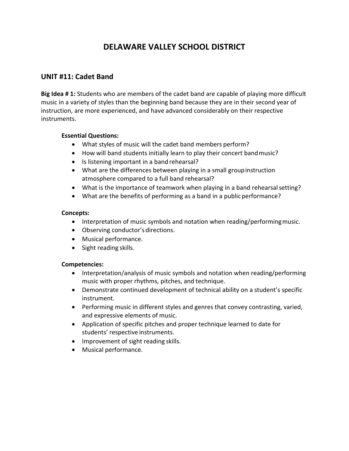#### **UNIT #11: Cadet Band**

**Big Idea # 1:** Students who are members of the cadet band are capable of playing more difficult music in a variety of styles than the beginning band because they are in their second year of instruction, are more experienced, and have advanced considerably on their respective instruments.

#### **Essential Questions:**

- What styles of music will the cadet band members perform?
- How will band students initially learn to play their concert bandmusic?
- Is listening important in a band rehearsal?
- What are the differences between playing in a small groupinstruction atmosphere compared to a full band rehearsal?
- What is the importance of teamwork when playing in a band rehearsal setting?
- What are the benefits of performing as a band in a public performance?

#### **Concepts:**

- Interpretation of music symbols and notation when reading/performing music.
- Observing conductor's directions.
- Musical performance.
- Sight reading skills.

#### **Competencies:**

- Interpretation/analysis of music symbols and notation when reading/performing music with proper rhythms, pitches, and technique.
- Demonstrate continued development of technical ability on a student's specific instrument.
- Performing music in different styles and genres that convey contrasting, varied, and expressive elements of music.
- Application of specific pitches and proper technique learned to date for students' respective instruments.
- Improvement of sight reading skills.
- Musical performance.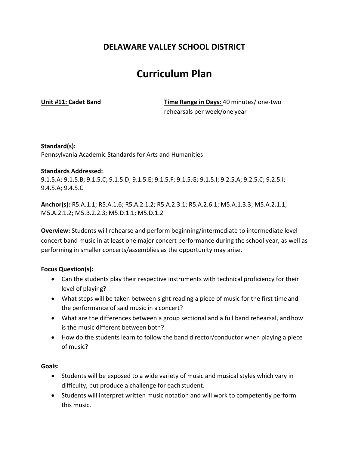## **Curriculum Plan**

**Unit #11: Cadet Band Time Range in Days:** 40 minutes/ one‐two rehearsals per week/one year

**Standard(s):** Pennsylvania Academic Standards for Arts and Humanities

#### **Standards Addressed:**

9.1.5.A; 9.1.5.B; 9.1.5.C; 9.1.5.D; 9.1.5.E; 9.1.5.F; 9.1.5.G; 9.1.5.I; 9.2.5.A; 9.2.5.C; 9.2.5.I; 9.4.5.A; 9.4.5.C

**Anchor(s):** R5.A.1.1; R5.A.1.6; R5.A.2.1.2; R5.A.2.3.1; R5.A.2.6.1; M5.A.1.3.3; M5.A.2.1.1; M5.A.2.1.2; M5.B.2.2.3; M5.D.1.1; M5.D.1.2

**Overview:** Students will rehearse and perform beginning/intermediate to intermediate level concert band music in at least one major concert performance during the school year, as well as performing in smaller concerts/assemblies as the opportunity may arise.

#### **Focus Question(s):**

- Can the students play their respective instruments with technical proficiency for their level of playing?
- What steps will be taken between sight reading a piece of music for the first timeand the performance of said music in a concert?
- What are the differences between a group sectional and a full band rehearsal, andhow is the music different between both?
- How do the students learn to follow the band director/conductor when playing a piece of music?

#### **Goals:**

- Students will be exposed to a wide variety of music and musical styles which vary in difficulty, but produce a challenge for each student.
- Students will interpret written music notation and will work to competently perform this music.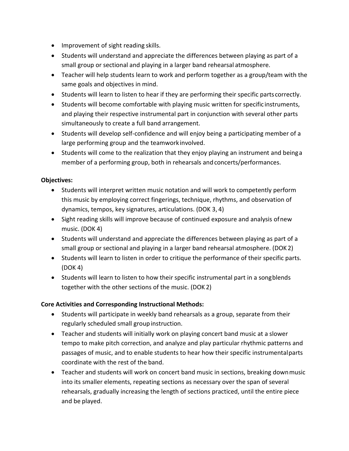- Improvement of sight reading skills.
- Students will understand and appreciate the differences between playing as part of a small group or sectional and playing in a larger band rehearsal atmosphere.
- Teacher will help students learn to work and perform together as a group/team with the same goals and objectives in mind.
- Students will learn to listen to hear if they are performing their specific parts correctly.
- Students will become comfortable with playing music written for specific instruments, and playing their respective instrumental part in conjunction with several other parts simultaneously to create a full band arrangement.
- Students will develop self‐confidence and will enjoy being a participating member of a large performing group and the teamwork involved.
- Students will come to the realization that they enjoy playing an instrument and beinga member of a performing group, both in rehearsals andconcerts/performances.

#### **Objectives:**

- Students will interpret written music notation and will work to competently perform this music by employing correct fingerings, technique, rhythms, and observation of dynamics, tempos, key signatures, articulations. (DOK 3, 4)
- Sight reading skills will improve because of continued exposure and analysis ofnew music. (DOK 4)
- Students will understand and appreciate the differences between playing as part of a small group or sectional and playing in a larger band rehearsal atmosphere. (DOK 2)
- Students will learn to listen in order to critique the performance of their specific parts. (DOK 4)
- Students will learn to listen to how their specific instrumental part in a songblends together with the other sections of the music. (DOK 2)

#### **Core Activities and Corresponding Instructional Methods:**

- Students will participate in weekly band rehearsals as a group, separate from their regularly scheduled small group instruction.
- Teacher and students will initially work on playing concert band music at a slower tempo to make pitch correction, and analyze and play particular rhythmic patterns and passages of music, and to enable students to hear how their specific instrumentalparts coordinate with the rest of the band.
- Teacher and students will work on concert band music in sections, breaking downmusic into its smaller elements, repeating sections as necessary over the span of several rehearsals, gradually increasing the length of sections practiced, until the entire piece and be played.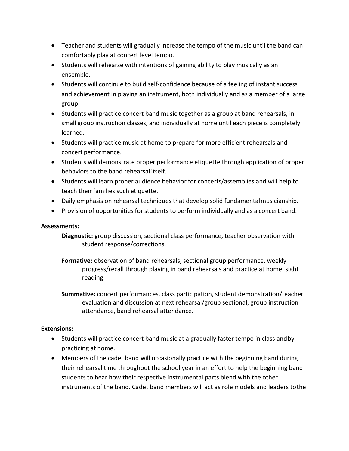- Teacher and students will gradually increase the tempo of the music until the band can comfortably play at concert level tempo.
- Students will rehearse with intentions of gaining ability to play musically as an ensemble.
- Students will continue to build self‐confidence because of a feeling of instant success and achievement in playing an instrument, both individually and as a member of a large group.
- Students will practice concert band music together as a group at band rehearsals, in small group instruction classes, and individually at home until each piece is completely learned.
- Students will practice music at home to prepare for more efficient rehearsals and concert performance.
- Students will demonstrate proper performance etiquette through application of proper behaviors to the band rehearsal itself.
- Students will learn proper audience behavior for concerts/assemblies and will help to teach their families such etiquette.
- Daily emphasis on rehearsal techniques that develop solid fundamentalmusicianship.
- Provision of opportunities for students to perform individually and as a concert band.

#### **Assessments:**

- **Diagnostic:** group discussion, sectional class performance, teacher observation with student response/corrections.
- **Formative:** observation of band rehearsals, sectional group performance, weekly progress/recall through playing in band rehearsals and practice at home, sight reading
- **Summative:** concert performances, class participation, student demonstration/teacher evaluation and discussion at next rehearsal/group sectional, group instruction attendance, band rehearsal attendance.

#### **Extensions:**

- Students will practice concert band music at a gradually faster tempo in class andby practicing at home.
- Members of the cadet band will occasionally practice with the beginning band during their rehearsal time throughout the school year in an effort to help the beginning band students to hear how their respective instrumental parts blend with the other instruments of the band. Cadet band members will act as role models and leaders tothe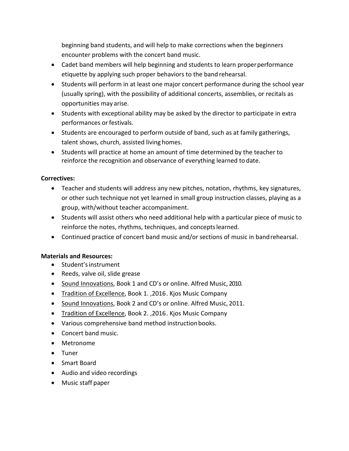beginning band students, and will help to make corrections when the beginners encounter problems with the concert band music.

- Cadet band members will help beginning and students to learn properperformance etiquette by applying such proper behaviors to the band rehearsal.
- Students will perform in at least one major concert performance during the school year (usually spring), with the possibility of additional concerts, assemblies, or recitals as opportunities may arise.
- Students with exceptional ability may be asked by the director to participate in extra performances or festivals.
- Students are encouraged to perform outside of band, such as at family gatherings, talent shows, church, assisted living homes.
- Students will practice at home an amount of time determined by the teacher to reinforce the recognition and observance of everything learned to date.

#### **Correctives:**

- Teacher and students will address any new pitches, notation, rhythms, key signatures, or other such technique not yet learned in small group instruction classes, playing as a group, with/without teacher accompaniment.
- Students will assist others who need additional help with a particular piece of music to reinforce the notes, rhythms, techniques, and conceptslearned.
- Continued practice of concert band music and/or sections of music in bandrehearsal.

#### **Materials and Resources:**

- Student'sinstrument
- Reeds, valve oil, slide grease
- Sound Innovations, Book 1 and CD's or online. Alfred Music, 2010.
- Tradition of Excellence, Book 1. ,2016. Kjos Music Company
- Sound Innovations, Book 2 and CD's or online. Alfred Music, 2011.
- Tradition of Excellence, Book 2. ,2016. Kjos Music Company
- Various comprehensive band method instructionbooks.
- Concert band music.
- Metronome
- Tuner
- Smart Board
- Audio and video recordings
- Music staff paper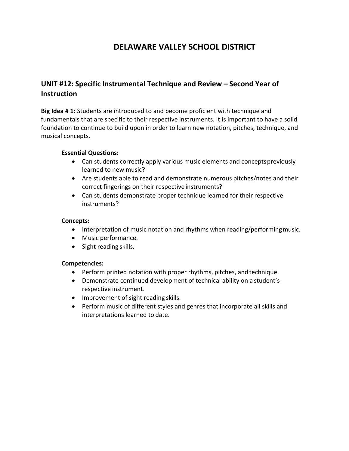#### **UNIT #12: Specific Instrumental Technique and Review – Second Year of Instruction**

**Big Idea # 1:** Students are introduced to and become proficient with technique and fundamentals that are specific to their respective instruments. It is important to have a solid foundation to continue to build upon in order to learn new notation, pitches, technique, and musical concepts.

#### **Essential Questions:**

- Can students correctly apply various music elements and conceptspreviously learned to new music?
- Are students able to read and demonstrate numerous pitches/notes and their correct fingerings on their respective instruments?
- Can students demonstrate proper technique learned for their respective instruments?

#### **Concepts:**

- Interpretation of music notation and rhythms when reading/performing music.
- Music performance.
- Sight reading skills.

#### **Competencies:**

- Perform printed notation with proper rhythms, pitches, and technique.
- Demonstrate continued development of technical ability on a student's respective instrument.
- Improvement of sight reading skills.
- Perform music of different styles and genres that incorporate all skills and interpretations learned to date.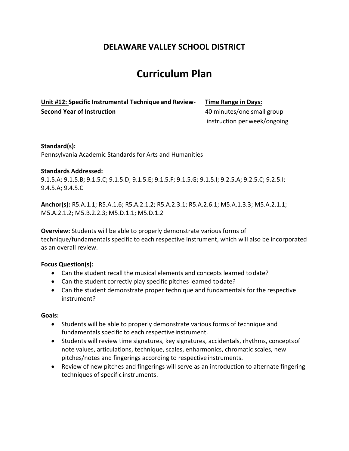## **Curriculum Plan**

**Unit #12: Specific Instrumental Technique and Review‐ Time Range in Days: Second Year of Instruction 10 minutes/one small group** 

instruction perweek/ongoing

**Standard(s):** Pennsylvania Academic Standards for Arts and Humanities

#### **Standards Addressed:**

9.1.5.A; 9.1.5.B; 9.1.5.C; 9.1.5.D; 9.1.5.E; 9.1.5.F; 9.1.5.G; 9.1.5.I; 9.2.5.A; 9.2.5.C; 9.2.5.I; 9.4.5.A; 9.4.5.C

**Anchor(s):** R5.A.1.1; R5.A.1.6; R5.A.2.1.2; R5.A.2.3.1; R5.A.2.6.1; M5.A.1.3.3; M5.A.2.1.1; M5.A.2.1.2; M5.B.2.2.3; M5.D.1.1; M5.D.1.2

**Overview:** Students will be able to properly demonstrate various forms of technique/fundamentals specific to each respective instrument, which will also be incorporated as an overall review.

#### **Focus Question(s):**

- Can the student recall the musical elements and concepts learned todate?
- Can the student correctly play specific pitches learned todate?
- Can the student demonstrate proper technique and fundamentals for the respective instrument?

#### **Goals:**

- Students will be able to properly demonstrate various forms of technique and fundamentals specific to each respective instrument.
- Students will review time signatures, key signatures, accidentals, rhythms, conceptsof note values, articulations, technique, scales, enharmonics, chromatic scales, new pitches/notes and fingerings according to respective instruments.
- Review of new pitches and fingerings will serve as an introduction to alternate fingering techniques of specific instruments.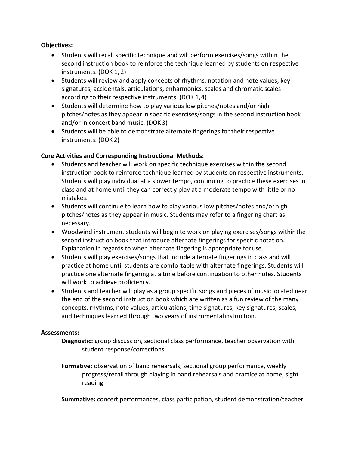#### **Objectives:**

- Students will recall specific technique and will perform exercises/songs within the second instruction book to reinforce the technique learned by students on respective instruments. (DOK 1, 2)
- Students will review and apply concepts of rhythms, notation and note values, key signatures, accidentals, articulations, enharmonics, scales and chromatic scales according to their respective instruments. (DOK 1,4)
- Students will determine how to play various low pitches/notes and/or high pitches/notes as they appear in specific exercises/songs in the second instruction book and/or in concert band music. (DOK 3)
- Students will be able to demonstrate alternate fingerings for their respective instruments. (DOK 2)

#### **Core Activities and Corresponding Instructional Methods:**

- Students and teacher will work on specific technique exercises within the second instruction book to reinforce technique learned by students on respective instruments. Students will play individual at a slower tempo, continuing to practice these exercises in class and at home until they can correctly play at a moderate tempo with little or no mistakes.
- Students will continue to learn how to play various low pitches/notes and/or high pitches/notes as they appear in music. Students may refer to a fingering chart as necessary.
- Woodwind instrument students will begin to work on playing exercises/songs withinthe second instruction book that introduce alternate fingerings for specific notation. Explanation in regards to when alternate fingering is appropriate for use.
- Students will play exercises/songs that include alternate fingerings in class and will practice at home until students are comfortable with alternate fingerings. Students will practice one alternate fingering at a time before continuation to other notes. Students will work to achieve proficiency.
- Students and teacher will play as a group specific songs and pieces of music located near the end of the second instruction book which are written as a fun review of the many concepts, rhythms, note values, articulations, time signatures, key signatures, scales, and techniques learned through two years of instrumentalinstruction.

#### **Assessments:**

- **Diagnostic:** group discussion, sectional class performance, teacher observation with student response/corrections.
- **Formative:** observation of band rehearsals, sectional group performance, weekly progress/recall through playing in band rehearsals and practice at home, sight reading

**Summative:** concert performances, class participation, student demonstration/teacher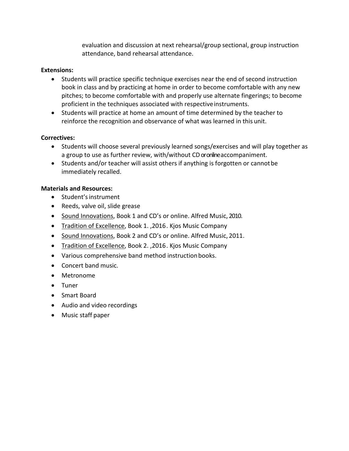evaluation and discussion at next rehearsal/group sectional, group instruction attendance, band rehearsal attendance.

#### **Extensions:**

- Students will practice specific technique exercises near the end of second instruction book in class and by practicing at home in order to become comfortable with any new pitches; to become comfortable with and properly use alternate fingerings; to become proficient in the techniques associated with respective instruments.
- Students will practice at home an amount of time determined by the teacher to reinforce the recognition and observance of what was learned in this unit.

#### **Correctives:**

- Students will choose several previously learned songs/exercises and will play together as a group to use as further review, with/without CD or online accompaniment.
- Students and/or teacher will assist others if anything is forgotten or cannotbe immediately recalled.

#### **Materials and Resources:**

- Student'sinstrument
- Reeds, valve oil, slide grease
- Sound Innovations, Book 1 and CD's or online. Alfred Music, 2010.
- Tradition of Excellence, Book 1. ,2016. Kjos Music Company
- Sound Innovations, Book 2 and CD's or online. Alfred Music, 2011.
- Tradition of Excellence, Book 2. ,2016. Kjos Music Company
- Various comprehensive band method instructionbooks.
- Concert band music.
- Metronome
- Tuner
- Smart Board
- Audio and video recordings
- Music staff paper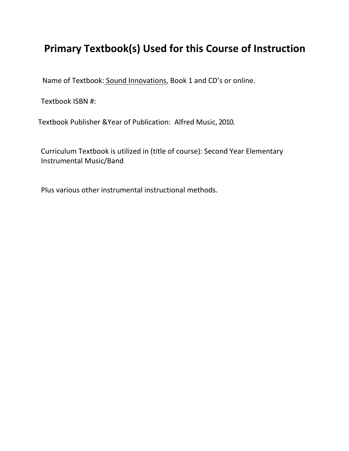Name of Textbook: Sound Innovations, Book 1 and CD's or online.

Textbook ISBN #:

Textbook Publisher &Year of Publication: Alfred Music, 2010.

Curriculum Textbook is utilized in (title of course): Second Year Elementary Instrumental Music/Band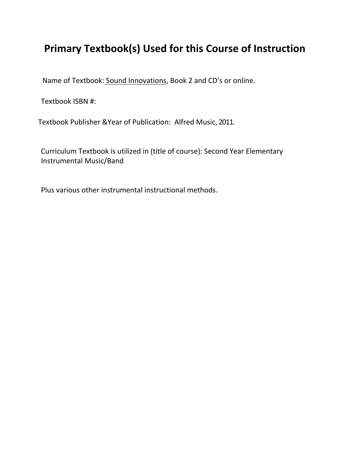Name of Textbook: Sound Innovations, Book 2 and CD's or online.

Textbook ISBN #:

Textbook Publisher &Year of Publication: Alfred Music, 2011.

Curriculum Textbook is utilized in (title of course): Second Year Elementary Instrumental Music/Band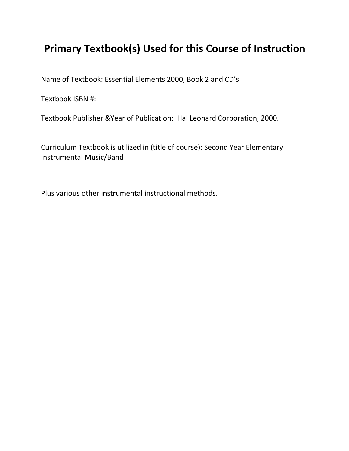Name of Textbook: Essential Elements 2000, Book 2 and CD's

Textbook ISBN #:

Textbook Publisher &Year of Publication: Hal Leonard Corporation, 2000.

Curriculum Textbook is utilized in (title of course): Second Year Elementary Instrumental Music/Band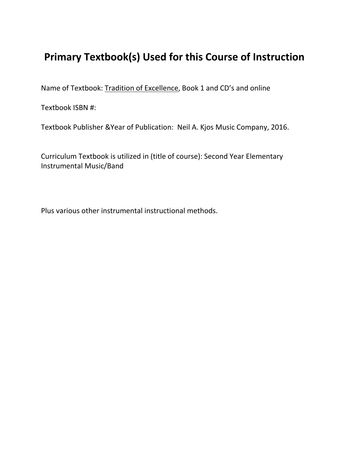Name of Textbook: Tradition of Excellence, Book 1 and CD's and online

Textbook ISBN #:

Textbook Publisher &Year of Publication: Neil A. Kjos Music Company, 2016.

Curriculum Textbook is utilized in (title of course): Second Year Elementary Instrumental Music/Band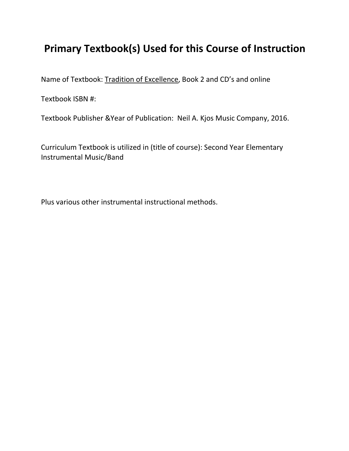Name of Textbook: Tradition of Excellence, Book 2 and CD's and online

Textbook ISBN #:

Textbook Publisher &Year of Publication: Neil A. Kjos Music Company, 2016.

Curriculum Textbook is utilized in (title of course): Second Year Elementary Instrumental Music/Band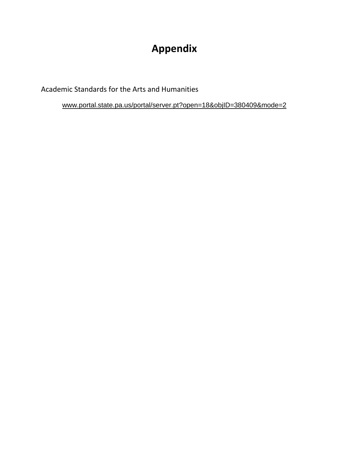# **Appendix**

Academic Standards for the Arts and Humanities

[www.portal.state.pa.us/portal/server.pt?open=18&objID=380409&mode=2](http://www.portal.state.pa.us/portal/server.pt?open=18&objID=380409&mode=2)